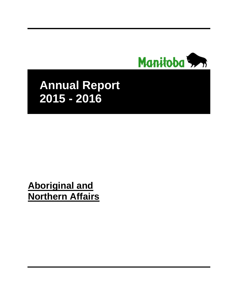

# **Annual Report 2015 - 2016**

# **Aboriginal and Northern Affairs**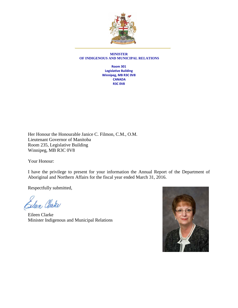

#### **MINISTER OF INDIGENOUS AND MUNICIPAL RELATIONS**

**Room 301 Legislative Building Winnipeg, MB R3C 0V8 CANADA R3C 0V8**

Her Honour the Honourable Janice C. Filmon, C.M., O.M. Lieutenant Governor of Manitoba Room 235, Legislative Building Winnipeg, MB R3C 0V8

Your Honour:

I have the privilege to present for your information the Annual Report of the Department of Aboriginal and Northern Affairs for the fiscal year ended March 31, 2016.

Respectfully submitted,

Sileen Clarke

Eileen Clarke Minister Indigenous and Municipal Relations

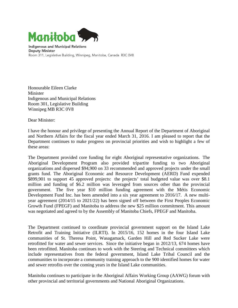

**Indigenous and Municipal Relations Deputy Minister** Room 311, Legislative Building, Winnipeg, Manitoba, Canada R3C 0V8

Honourable Eileen Clarke Minister Indigenous and Municipal Relations Room 301, Legislative Building Winnipeg MB R3C 0V8

Dear Minister:

I have the honour and privilege of presenting the Annual Report of the Department of Aboriginal and Northern Affairs for the fiscal year ended March 31, 2016. I am pleased to report that the Department continues to make progress on provincial priorities and wish to highlight a few of these areas:

The Department provided core funding for eight Aboriginal representative organizations. The Aboriginal Development Program also provided tripartite funding to two Aboriginal organizations and dispersed \$94,900 on 33 recommended and approved projects under the small grants fund. The Aboriginal Economic and Resource Development (AERD) Fund expended \$899,901 to support 45 approved projects: the projects' total budgeted value was over \$8.1 million and funding of \$6.2 million was leveraged from sources other than the provincial government. The five year \$10 million funding agreement with the Métis Economic Development Fund Inc. has been amended into a six year agreement to 2016/17. A new multiyear agreement (2014/15 to 2021/22) has been signed off between the First Peoples Economic Growth Fund (FPEGF) and Manitoba to address the new \$25 million commitment. This amount was negotiated and agreed to by the Assembly of Manitoba Chiefs, FPEGF and Manitoba.

The Department continued to coordinate provincial government support on the Island Lake Retrofit and Training Initiative (ILRTI). In 2015/16, 152 homes in the four Island Lake communities of St. Theresa Point, Wasagamack, Garden Hill and Red Sucker Lake were retrofitted for water and sewer services. Since the initiative began in 2012/13, 674 homes have been retrofitted. Manitoba continues to work with the Steering and Technical committees which include representatives from the federal government, Island Lake Tribal Council and the communities to incorporate a community training approach to the 900 identified homes for water and sewer retrofits over the coming years in the Island Lake communities.

Manitoba continues to participate in the Aboriginal Affairs Working Group (AAWG) forum with other provincial and territorial governments and National Aboriginal Organizations.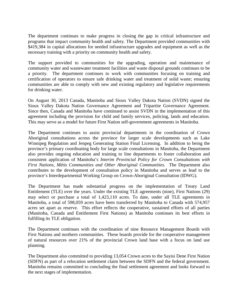The department continues to make progress in closing the gap in critical infrastructure and programs that impact community health and safety. The Department provided communities with \$419,384 in capital allocations for needed infrastructure upgrades and equipment as well as the necessary training with a priority on community health and safety.

The support provided to communities for the upgrading, operation and maintenance of community water and wastewater treatment facilities and waste disposal grounds continues to be a priority. The department continues to work with communities focusing on training and certification of operators to ensure safe drinking water and treatment of solid waste; ensuring communities are able to comply with new and existing regulatory and legislative requirements for drinking water.

On August 30, 2013 Canada, Manitoba and Sioux Valley Dakota Nation (SVDN) signed the Sioux Valley Dakota Nation Governance Agreement and Tripartite Governance Agreement. Since then, Canada and Manitoba have continued to assist SVDN in the implementation of this agreement including the provision for child and family services, policing, lands and education. This may serve as a model for future First Nation self-government agreements in Manitoba.

The Department continues to assist provincial departments in the coordination of Crown Aboriginal consultations across the province for larger scale developments such as Lake Winnipeg Regulation and Jenpeg Generating Station Final Licensing. In addition to being the province's primary coordinating body for large scale consultations in Manitoba, the Department also provides ongoing education and training to line departments to foster collaboration and consistent application of Manitoba's *Interim Provincial Policy for Crown Consultations with First Nations, Métis Communities and Other Aboriginal Communities.* The Department also contributes to the development of consultation policy in Manitoba and serves as lead to the province's Interdepartmental Working Group on Crown-Aboriginal Consultation (IDWG).

The Department has made substantial progress on the implementation of Treaty Land Entitlement (TLE) over the years. Under the existing TLE agreements (nine), First Nations (29) may select or purchase a total of 1,423,110 acres. To date, under all TLE agreements in Manitoba, a total of 598,059 acres have been transferred by Manitoba to Canada with 574,957 acres set apart as reserve. This effort reflects the cooperative, sustained efforts of all parties (Manitoba, Canada and Entitlement First Nations) as Manitoba continues its best efforts in fulfilling its TLE obligation.

The Department continues with the coordination of nine Resource Management Boards with First Nations and northern communities. These boards provide for the cooperative management of natural resources over 21% of the provincial Crown land base with a focus on land use planning.

The Department also committed to providing 13,054 Crown acres to the Sayisi Dene First Nation (SDFN) as part of a relocation settlement claim between the SDFN and the federal government. Manitoba remains committed to concluding the final settlement agreement and looks forward to the next stages of implementation.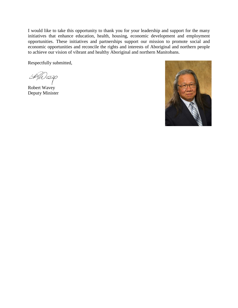I would like to take this opportunity to thank you for your leadership and support for the many initiatives that enhance education, health, housing, economic development and employment opportunities. These initiatives and partnerships support our mission to promote social and economic opportunities and reconcile the rights and interests of Aboriginal and northern people to achieve our vision of vibrant and healthy Aboriginal and northern Manitobans.

Respectfully submitted,

 $\overline{\mathcal{L}}$ 7*W 652*0

Robert Wavey Deputy Minister

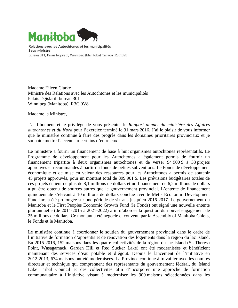

Relations avec les Autochtones et les municipalités Sous-ministre Bureau 311, Palais législatif, Winnipeg (Manitoba) Canada R3C 0V8

Madame Eileen Clarke Ministre des Relations avec les Autochtones et les municipalités Palais législatif, bureau 301 Winnipeg (Manitoba) R3C 0V8

Madame la Ministre,

J'ai l'honneur et le privilège de vous présenter le *Rapport annuel du ministère des Affaires autochtones et du Nord* pour l'exercice terminé le 31 mars 2016. J'ai le plaisir de vous informer que le ministère continue à faire des progrès dans les domaines prioritaires provinciaux et je souhaite mettre l'accent sur certains d'entre eux.

Le ministère a fourni un financement de base à huit organismes autochtones représentatifs. Le Programme de développement pour les Autochtones a également permis de fournir un financement tripartite à deux organismes autochtones et de verser 94 900 \$ à 33 projets approuvés et recommandés à partir du fonds de petites subventions. Le Fonds de développement économique et de mise en valeur des ressources pour les Autochtones a permis de soutenir 45 projets approuvés, pour un montant total de 899 901 \$. Les prévisions budgétaires totales de ces projets étaient de plus de 8,1 millions de dollars et un financement de 6,2 millions de dollars a pu être obtenu de sources autres que le gouvernement provincial. L'entente de financement quinquennale s'élevant à 10 millions de dollars conclue avec le Métis Economic Development Fund Inc. a été prolongée sur une période de six ans jusqu'en 2016-2017. Le gouvernement du Manitoba et le First Peoples Economic Growth Fund (le Fonds) ont signé une nouvelle entente pluriannuelle (de 2014-2015 à 2021-2022) afin d'aborder la question du nouvel engagement de 25 millions de dollars. Ce montant a été négocié et convenu par la Assembly of Manitoba Chiefs, le Fonds et le Manitoba.

Le ministère continue à coordonner le soutien du gouvernement provincial dans le cadre de l'initiative de formation d'apprentis et de rénovation des logements dans la région du lac Island. En 2015-2016, 152 maisons dans les quatre collectivités de la région du lac Island (St. Theresa Point, Wasagamack, Garden Hill et Red Sucker Lake) ont été modernisées et bénéficient maintenant des services d'eau potable et d'égout. Depuis le lancement de l'initiative en 2012-2013, 674 maisons ont été modernisées. La Province continue à travailler avec les comités directeur et technique qui comprennent des représentants du gouvernement fédéral, du Island Lake Tribal Council et des collectivités afin d'incorporer une approche de formation communautaire à l'initiative visant à moderniser les 900 maisons sélectionnées dans les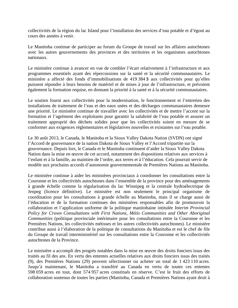collectivités de la région du lac Island pour l'installation des services d'eau potable et d'égout au cours des années à venir.

Le Manitoba continue de participer au forum du Groupe de travail sur les affaires autochtones avec les autres gouvernements des provinces et des territoires et les organismes autochtones nationaux.

Le ministère continue à avancer en vue de combler l'écart relativement à l'infrastructure et aux programmes essentiels ayant des répercussions sur la santé et la sécurité communautaires. Le ministère a affecté des fonds d'immobilisations de 419 384 \$ aux collectivités pour qu'elles puissent répondre à leurs besoins de matériel et de mises à jour de l'infrastructure, et prévoient également la formation requise, en donnant la priorité à la santé et à la sécurité communautaires.

Le soutien fourni aux collectivités pour la modernisation, le fonctionnement et l'entretien des installations de traitement de l'eau et des eaux usées et des décharges communautaires demeure une priorité. Le ministère continue de travailler avec les collectivités et de mettre l'accent sur la formation et l'agrément des exploitants pour garantir la salubrité de l'eau potable et assurer un traitement approprié des déchets solides pour que les collectivités soient en mesure de se conformer aux exigences réglementaires et législatives nouvelles et existantes sur l'eau potable.

Le 30 août 2013, le Canada, le Manitoba et la Sioux Valley Dakota Nation (SVDN) ont signé l'Accord de gouvernance de la nation Dakota de Sioux Valley et l'Accord tripartite sur la gouvernance. Depuis lors, le Canada et le Manitoba continuent d'aider la Sioux Valley Dakota Nation dans la mise en œuvre de cet accord, notamment des dispositions relatives aux services à l'enfant et à la famille, au maintien de l'ordre, aux terres et à l'éducation. Cela pourrait servir de modèle aux prochains accords d'autonomie gouvernementale de Premières Nations au Manitoba.

Le ministère continue à aider les ministères provinciaux à coordonner les consultations entre la Couronne et les collectivités autochtones dans l'ensemble de la province pour des aménagements à grande échelle comme la régularisation du lac Winnipeg et la centrale hydroélectrique de Jenpeg (licence définitive). Le ministère est non seulement le principal organisme de coordination pour les consultations à grande échelle au Manitoba, mais il se charge aussi de l'éducation et de la formation continues des ministères responsables afin de promouvoir la collaboration et l'application uniforme de la politique manitobaine intitulée *Interim Provincial Policy for Crown Consultations with First Nations, Métis Communities and Other Aboriginal Communities* (politique provinciale intérimaire pour les consultations entre la Couronne et les Premières Nations, les collectivités métisses et les autres collectivités autochtones). Le ministère contribue aussi à l'élaboration de la politique de consultations du Manitoba et est le chef de file du Groupe de travail interministériel sur les consultations entre la Couronne et les collectivités autochtones de la Province.

Le ministère a accompli des progrès notables dans la mise en œuvre des droits fonciers issus des traités au fil des ans. En vertu des ententes actuelles relatives aux droits fonciers issus des traités (9), des Premières Nations (29) peuvent sélectionner ou acheter un total de 1 423 110 acres. Jusqu'à maintenant, le Manitoba a transféré au Canada en vertu de toutes ces ententes 598 059 acres en tout, dont 574 957 acres constitués en réserve. C'est le fruit des efforts de collaboration soutenus de toutes les parties (Manitoba, Canada et Premières Nations ayant droit à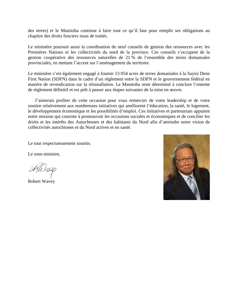des terres) et le Manitoba continue à faire tout ce qu'il faut pour remplir ses obligations au chapitre des droits fonciers issus de traités.

Le ministère poursuit aussi la coordination de neuf conseils de gestion des ressources avec les Premières Nations et les collectivités du nord de la province. Ces conseils s'occupent de la gestion coopérative des ressources naturelles de 21 % de l'ensemble des terres domaniales provinciales, en mettant l'accent sur l'aménagement du territoire.

Le ministère s'est également engagé à fournir 13 054 acres de terres domaniales à la Sayisi Dene First Nation (SDFN) dans le cadre d'un règlement entre la SDFN et le gouvernement fédéral en matière de revendication sur la réinstallation. Le Manitoba reste déterminé à conclure l'entente de règlement définitif et est prêt à passer aux étapes suivantes de la mise en œuvre.

J'aimerais profiter de cette occasion pour vous remercier de votre leadership et de votre soutien relativement aux nombreuses initiatives qui améliorent l'éducation, la santé, le logement, le développement économique et les possibilités d'emploi. Ces initiatives et partenariats appuient notre mission qui consiste à promouvoir les occasions sociales et économiques et de concilier les droits et les intérêts des Autochtones et des habitants du Nord afin d'atteindre notre vision de collectivités autochtones et du Nord actives et en santé.

Le tout respectueusement soumis.

Le sous-ministre,

Robert Wavey

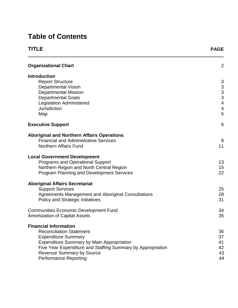# **Table of Contents**

| TITLE                                                       | <b>PAGE</b>                                |
|-------------------------------------------------------------|--------------------------------------------|
| <b>Organizational Chart</b>                                 | 2                                          |
| <b>Introduction</b>                                         |                                            |
| <b>Report Structure</b>                                     | 3                                          |
| <b>Departmental Vision</b>                                  | $\begin{array}{c} 3 \\ 3 \\ 3 \end{array}$ |
| <b>Departmental Mission</b>                                 |                                            |
| <b>Departmental Goals</b>                                   |                                            |
| <b>Legislation Administered</b>                             | $\overline{\mathbf{4}}$                    |
| <b>Jurisdiction</b>                                         | $\overline{\mathbf{4}}$                    |
| Map                                                         | 5                                          |
| <b>Executive Support</b>                                    | 6                                          |
| <b>Aboriginal and Northern Affairs Operations</b>           |                                            |
| <b>Financial and Administrative Services</b>                | 8                                          |
| <b>Northern Affairs Fund</b>                                | 11                                         |
|                                                             |                                            |
| <b>Local Government Development</b>                         |                                            |
| <b>Programs and Operational Support</b>                     | 13                                         |
| Northern Region and North Central Region                    | 15                                         |
| <b>Program Planning and Development Services</b>            | 22                                         |
| <b>Aboriginal Affairs Secretariat</b>                       |                                            |
| <b>Support Services</b>                                     | 25                                         |
| Agreements Management and Aboriginal Consultations          | 28                                         |
| <b>Policy and Strategic Initiatives</b>                     | 31                                         |
|                                                             |                                            |
| <b>Communities Economic Development Fund</b>                | 34                                         |
| <b>Amortization of Capital Assets</b>                       | 35                                         |
| <b>Financial Information</b>                                |                                            |
| <b>Reconciliation Statement</b>                             | 36                                         |
| <b>Expenditure Summary</b>                                  | 37                                         |
| <b>Expenditure Summary by Main Appropriation</b>            | 41                                         |
| Five Year Expenditure and Staffing Summary by Appropriation | 42                                         |
| <b>Revenue Summary by Source</b>                            | 43                                         |
| <b>Performance Reporting</b>                                | 44                                         |
|                                                             |                                            |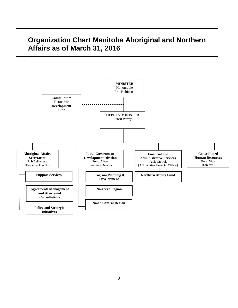# **Organization Chart Manitoba Aboriginal and Northern Affairs as of March 31, 2016**

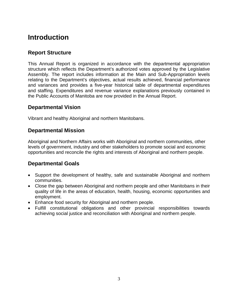# **Introduction**

### **Report Structure**

This Annual Report is organized in accordance with the departmental appropriation structure which reflects the Department's authorized votes approved by the Legislative Assembly. The report includes information at the Main and Sub-Appropriation levels relating to the Department's objectives, actual results achieved, financial performance and variances and provides a five-year historical table of departmental expenditures and staffing. Expenditures and revenue variance explanations previously contained in the Public Accounts of Manitoba are now provided in the Annual Report.

### **Departmental Vision**

Vibrant and healthy Aboriginal and northern Manitobans.

### **Departmental Mission**

Aboriginal and Northern Affairs works with Aboriginal and northern communities, other levels of government, industry and other stakeholders to promote social and economic opportunities and reconcile the rights and interests of Aboriginal and northern people.

### **Departmental Goals**

- Support the development of healthy, safe and sustainable Aboriginal and northern communities.
- Close the gap between Aboriginal and northern people and other Manitobans in their quality of life in the areas of education, health, housing, economic opportunities and employment.
- Enhance food security for Aboriginal and northern people.
- Fulfill constitutional obligations and other provincial responsibilities towards achieving social justice and reconciliation with Aboriginal and northern people.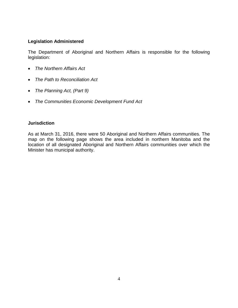#### **Legislation Administered**

The Department of Aboriginal and Northern Affairs is responsible for the following legislation:

- *The Northern Affairs Act*
- *The Path to Reconciliation Act*
- *The Planning Act, (Part 9)*
- *The Communities Economic Development Fund Act*

#### **Jurisdiction**

As at March 31, 2016, there were 50 Aboriginal and Northern Affairs communities. The map on the following page shows the area included in northern Manitoba and the location of all designated Aboriginal and Northern Affairs communities over which the Minister has municipal authority.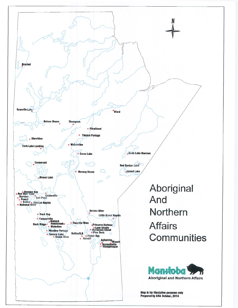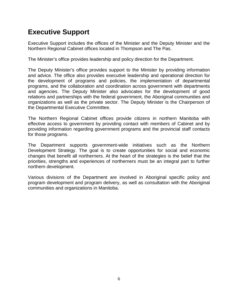# **Executive Support**

Executive Support includes the offices of the Minister and the Deputy Minister and the Northern Regional Cabinet offices located in Thompson and The Pas.

The Minister's office provides leadership and policy direction for the Department.

The Deputy Minister's office provides support to the Minister by providing information and advice. The office also provides executive leadership and operational direction for the development of programs and policies, the implementation of departmental programs, and the collaboration and coordination across government with departments and agencies. The Deputy Minister also advocates for the development of good relations and partnerships with the federal government, the Aboriginal communities and organizations as well as the private sector. The Deputy Minister is the Chairperson of the Departmental Executive Committee.

The Northern Regional Cabinet offices provide citizens in northern Manitoba with effective access to government by providing contact with members of Cabinet and by providing information regarding government programs and the provincial staff contacts for those programs.

The Department supports government-wide initiatives such as the Northern Development Strategy. The goal is to create opportunities for social and economic changes that benefit all northerners. At the heart of the strategies is the belief that the priorities, strengths and experiences of northerners must be an integral part to further northern development.

Various divisions of the Department are involved in Aboriginal specific policy and program development and program delivery, as well as consultation with the Aboriginal communities and organizations in Manitoba.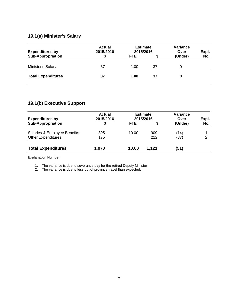### **19.1(a) Minister's Salary**

| <b>Expenditures by</b>    | <b>Actual</b><br>2015/2016 | <b>Estimate</b><br>2015/2016 |    | Variance<br>Over | Expl. |
|---------------------------|----------------------------|------------------------------|----|------------------|-------|
| <b>Sub-Appropriation</b>  |                            | <b>FTE</b>                   |    | (Under)          | No.   |
| Minister's Salary         | 37                         | 1.00                         | 37 |                  |       |
| <b>Total Expenditures</b> | 37                         | 1.00                         | 37 | 0                |       |

### **19.1(b) Executive Support**

| <b>Expenditures by</b>       | Actual<br>2015/2016 | <b>Estimate</b><br>2015/2016 |       | Variance<br>Over | Expl. |
|------------------------------|---------------------|------------------------------|-------|------------------|-------|
| <b>Sub-Appropriation</b>     |                     | <b>FTE</b>                   | S     | (Under)          | No.   |
| Salaries & Employee Benefits | 895                 | 10.00                        | 909   | (14)             |       |
| <b>Other Expenditures</b>    | 175                 |                              | 212   | (37)             | 2     |
| <b>Total Expenditures</b>    | 1,070               | 10.00                        | 1.121 | (51)             |       |

Explanation Number:

1. The variance is due to severance pay for the retired Deputy Minister

2. The variance is due to less out of province travel than expected.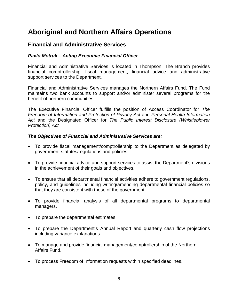# **Aboriginal and Northern Affairs Operations**

### **Financial and Administrative Services**

#### *Pavlo Motruk – Acting Executive Financial Officer*

Financial and Administrative Services is located in Thompson. The Branch provides financial comptrollership, fiscal management, financial advice and administrative support services to the Department.

Financial and Administrative Services manages the Northern Affairs Fund. The Fund maintains two bank accounts to support and/or administer several programs for the benefit of northern communities.

The Executive Financial Officer fulfills the position of Access Coordinator for *The Freedom of Information and Protection of Privacy Act* and *Personal Health Information Act* and the Designated Officer for *The Public Interest Disclosure (Whistleblower Protection) Act.*

#### *The Objectives of Financial and Administrative Services are:*

- To provide fiscal management/comptrollership to the Department as delegated by government statutes/regulations and policies.
- To provide financial advice and support services to assist the Department's divisions in the achievement of their goals and objectives.
- To ensure that all departmental financial activities adhere to government regulations, policy, and guidelines including writing/amending departmental financial policies so that they are consistent with those of the government.
- To provide financial analysis of all departmental programs to departmental managers.
- To prepare the departmental estimates.
- To prepare the Department's Annual Report and quarterly cash flow projections including variance explanations.
- To manage and provide financial management/comptrollership of the Northern Affairs Fund.
- To process Freedom of Information requests within specified deadlines.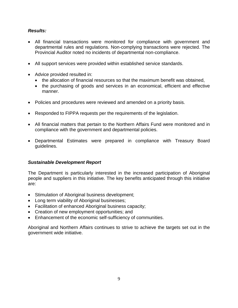#### *Results:*

- All financial transactions were monitored for compliance with government and departmental rules and regulations. Non-complying transactions were rejected. The Provincial Auditor noted no incidents of departmental non-compliance.
- All support services were provided within established service standards.
- Advice provided resulted in:
	- the allocation of financial resources so that the maximum benefit was obtained,
	- the purchasing of goods and services in an economical, efficient and effective manner.
- Policies and procedures were reviewed and amended on a priority basis.
- Responded to FIPPA requests per the requirements of the legislation.
- All financial matters that pertain to the Northern Affairs Fund were monitored and in compliance with the government and departmental policies.
- Departmental Estimates were prepared in compliance with Treasury Board guidelines.

#### *Sustainable Development Report*

The Department is particularly interested in the increased participation of Aboriginal people and suppliers in this initiative. The key benefits anticipated through this initiative are:

- Stimulation of Aboriginal business development;
- Long term viability of Aboriginal businesses;
- Facilitation of enhanced Aboriginal business capacity;
- Creation of new employment opportunities; and
- Enhancement of the economic self-sufficiency of communities.

Aboriginal and Northern Affairs continues to strive to achieve the targets set out in the government wide initiative.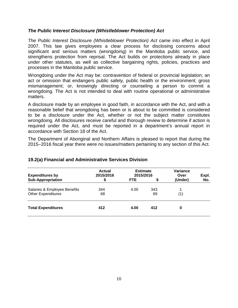#### *The Public Interest Disclosure (Whistleblower Protection) Act*

*The Public Interest Disclosure (Whistleblower Protection) Act* came into effect in April 2007. This law gives employees a clear process for disclosing concerns about significant and serious matters (wrongdoing) in the Manitoba public service, and strengthens protection from reprisal. The Act builds on protections already in place under other statutes, as well as collective bargaining rights, policies, practices and processes in the Manitoba public service.

Wrongdoing under the Act may be: contravention of federal or provincial legislation; an act or omission that endangers public safety, public health or the environment; gross mismanagement; or, knowingly directing or counseling a person to commit a wrongdoing. The Act is not intended to deal with routine operational or administrative matters.

A disclosure made by an employee in good faith, in accordance with the Act, and with a reasonable belief that wrongdoing has been or is about to be committed is considered to be a disclosure under the Act*,* whether or not the subject matter constitutes wrongdoing. All disclosures receive careful and thorough review to determine if action is required under the Act, and must be reported in a department's annual report in accordance with Section 18 of the Act.

The Department of Aboriginal and Northern Affairs is pleased to report that during the 2015–2016 fiscal year there were no issues/matters pertaining to any section of this Act.

| <b>Expenditures by</b>                                    | <b>Actual</b><br>2015/2016 | <b>Estimate</b><br>2015/2016 |           | Variance<br>Over | Expl. |
|-----------------------------------------------------------|----------------------------|------------------------------|-----------|------------------|-------|
| <b>Sub-Appropriation</b>                                  | S                          | <b>FTE</b>                   |           | (Under)          | No.   |
| Salaries & Employee Benefits<br><b>Other Expenditures</b> | 344<br>68                  | 4.00                         | 343<br>69 | 1<br>(1)         |       |
| <b>Total Expenditures</b>                                 | 412                        | 4.00                         | 412       | 0                |       |

#### **19.2(a) Financial and Administrative Services Division**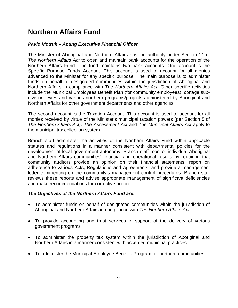# **Northern Affairs Fund**

#### *Pavlo Motruk – Acting Executive Financial Officer*

The Minister of Aboriginal and Northern Affairs has the authority under Section 11 of *The Northern Affairs Act* to open and maintain bank accounts for the operation of the Northern Affairs Fund. The fund maintains two bank accounts. One account is the Specific Purpose Funds Account. This account is used to account for all monies advanced to the Minister for any specific purpose. The main purpose is to administer funds on behalf of designated communities within the jurisdiction of Aboriginal and Northern Affairs in compliance with *The Northern Affairs Act*. Other specific activities include the Municipal Employees Benefit Plan (for community employees), cottage subdivision levies and various northern programs/projects administered by Aboriginal and Northern Affairs for other government departments and other agencies.

The second account is the Taxation Account. This account is used to account for all monies received by virtue of the Minister's municipal taxation powers (per Section 5 of *The Northern Affairs Act*). *The Assessment Act* and *The Municipal Affairs Act* apply to the municipal tax collection system.

Branch staff administer the activities of the Northern Affairs Fund within applicable statutes and regulations in a manner consistent with departmental policies for the development of local government autonomy. Branch staff monitor individual Aboriginal and Northern Affairs communities' financial and operational results by requiring that community auditors provide an opinion on their financial statements, report on adherence to various Acts, Regulations and Agreements, and provide a management letter commenting on the community's management control procedures. Branch staff reviews these reports and advise appropriate management of significant deficiencies and make recommendations for corrective action.

#### *The Objectives of the Northern Affairs Fund are:*

- To administer funds on behalf of designated communities within the jurisdiction of Aboriginal and Northern Affairs in compliance with *The Northern Affairs Act*.
- To provide accounting and trust services in support of the delivery of various government programs.
- To administer the property tax system within the jurisdiction of Aboriginal and Northern Affairs in a manner consistent with accepted municipal practices.
- To administer the Municipal Employee Benefits Program for northern communities.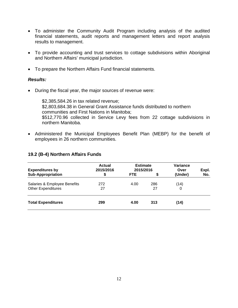- To administer the Community Audit Program including analysis of the audited financial statements, audit reports and management letters and report analysis results to management.
- To provide accounting and trust services to cottage subdivisions within Aboriginal and Northern Affairs' municipal jurisdiction.
- To prepare the Northern Affairs Fund financial statements.

#### *Results:*

• During the fiscal year, the major sources of revenue were:

\$2,385,584.26 in tax related revenue; \$2,803,684.38 in General Grant Assistance funds distributed to northern communities and First Nations in Manitoba; \$512,770.96 collected in Service Levy fees from 22 cottage subdivisions in northern Manitoba.

• Administered the Municipal Employees Benefit Plan (MEBP) for the benefit of employees in 26 northern communities.

#### **19.2 (B-4) Northern Affairs Funds**

| <b>Expenditures by</b>                                    | Actual<br>2015/2016 | <b>Estimate</b><br>2015/2016 |           | Variance<br>Over | Expl. |
|-----------------------------------------------------------|---------------------|------------------------------|-----------|------------------|-------|
| <b>Sub-Appropriation</b>                                  | \$                  | <b>FTE</b>                   | S         | (Under)          | No.   |
| Salaries & Employee Benefits<br><b>Other Expenditures</b> | 272<br>27           | 4.00                         | 286<br>27 | (14)<br>0        |       |
| <b>Total Expenditures</b>                                 | 299                 | 4.00                         | 313       | (14)             |       |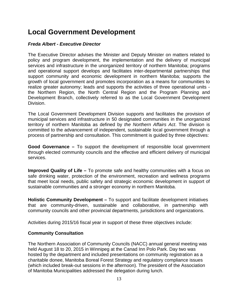# **Local Government Development**

#### *Freda Albert - Executive Director*

The Executive Director advises the Minister and Deputy Minister on matters related to policy and program development, the implementation and the delivery of municipal services and infrastructure in the unorganized territory of northern Manitoba; programs and operational support develops and facilitates inter-departmental partnerships that support community and economic development in northern Manitoba; supports the growth of local government and promotes incorporation as a means for communities to realize greater autonomy; leads and supports the activities of three operational units the Northern Region, the North Central Region and the Program Planning and Development Branch, collectively referred to as the Local Government Development Division.

The Local Government Development Division supports and facilitates the provision of municipal services and infrastructure in 50 designated communities in the unorganized territory of northern Manitoba as defined by *the Northern Affairs Act*. The division is committed to the advancement of independent, sustainable local government through a process of partnership and consultation. This commitment is guided by three objectives:

**Good Governance –** To support the development of responsible local government through elected community councils and the effective and efficient delivery of municipal services.

**Improved Quality of Life –** To promote safe and healthy communities with a focus on safe drinking water, protection of the environment, recreation and wellness programs that meet local needs, public safety and strategic economic development in support of sustainable communities and a stronger economy in northern Manitoba.

**Holistic Community Development –** To support and facilitate development initiatives that are community-driven, sustainable and collaborative, in partnership with community councils and other provincial departments, jurisdictions and organizations.

Activities during 2015/16 fiscal year in support of these three objectives include:

#### **Community Consultation**

The Northern Association of Community Councils (NACC) annual general meeting was held August 18 to 20, 2015 in Winnipeg at the Canad Inn Polo Park. Day two was hosted by the department and included presentations on community registration as a charitable donee, Manitoba Boreal Forest Strategy and regulatory compliance issues (which included break-out sessions in the afternoon). The president of the Association of Manitoba Municipalities addressed the delegation during lunch.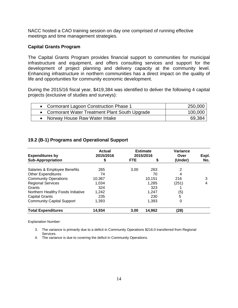NACC hosted a CAO training session on day one comprised of running effective meetings and time management strategies.

#### **Capital Grants Program**

The Capital Grants Program provides financial support to communities for municipal infrastructure and equipment, and offers consulting services and support for the development of project planning and delivery capacity at the community level. Enhancing infrastructure in northern communities has a direct impact on the quality of life and opportunities for community economic development.

During the 2015/16 fiscal year, \$419,384 was identified to deliver the following 4 capital projects (exclusive of studies and surveys):

| • Cormorant Lagoon Construction Phase 1         | 250,000 |
|-------------------------------------------------|---------|
| • Cormorant Water Treatment Plant South Upgrade | 100,000 |
| Norway House Raw Water Intake                   | 69,384  |

#### **19.2 (B-1) Programs and Operational Support**

| <b>Expenditures by</b>            | Actual<br>2015/2016 | <b>Estimate</b><br>2015/2016 |        | Variance<br>Over | Expl. |
|-----------------------------------|---------------------|------------------------------|--------|------------------|-------|
| <b>Sub-Appropriation</b>          | \$                  | <b>FTE</b>                   | S      | (Under)          | No.   |
| Salaries & Employee Benefits      | 265                 | 3.00                         | 263    | 2                |       |
| <b>Other Expenditures</b>         | 74                  |                              | 70     | 4                |       |
| <b>Community Operations</b>       | 10,367              |                              | 10.151 | 216              | 3     |
| <b>Regional Services</b>          | 1.034               |                              | 1,285  | (251)            | 4     |
| Grants                            | 324                 |                              | 323    |                  |       |
| Northern Healthy Foods Initiative | 1,242               |                              | 1,247  | (5)              |       |
| <b>Capital Grants</b>             | 235                 |                              | 230    | 5                |       |
| <b>Community Capital Support</b>  | 1.393               |                              | 1.393  | 0                |       |
| <b>Total Expenditures</b>         | 14,934              | 3.00                         | 14,962 | (28)             |       |

Explanation Number:

- 3. The variance is primarily due to a deficit in Community Operations \$216.0 transferred from Regional Services.
- 4. The variance is due to covering the deficit in Community Operations.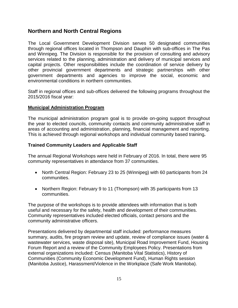### **Northern and North Central Regions**

The Local Government Development Division serves 50 designated communities through regional offices located in Thompson and Dauphin with sub-offices in The Pas and Winnipeg. The Division is responsible for the provision of consulting and advisory services related to the planning, administration and delivery of municipal services and capital projects. Other responsibilities include the coordination of service delivery by other provincial government departments and strategic partnerships with other government departments and agencies to improve the social, economic and environmental conditions in northern communities.

Staff in regional offices and sub-offices delivered the following programs throughout the 2015/2016 fiscal year:

#### **Municipal Administration Program**

The municipal administration program goal is to provide on-going support throughout the year to elected councils, community contacts and community administrative staff in areas of accounting and administration, planning, financial management and reporting. This is achieved through regional workshops and individual community based training**.** 

#### **Trained Community Leaders and Applicable Staff**

The annual Regional Workshops were held in February of 2016. In total, there were 95 community representatives in attendance from 37 communities.

- North Central Region: February 23 to 25 (Winnipeg) with 60 participants from 24 communities.
- Northern Region: February 9 to 11 (Thompson) with 35 participants from 13 communities.

The purpose of the workshops is to provide attendees with information that is both useful and necessary for the safety, health and development of their communities. Community representatives included elected officials, contact persons and the community administrative officers.

Presentations delivered by departmental staff included: performance measures summary, audits, fire program review and update, review of compliance issues (water & wastewater services, waste disposal site), Municipal Road Improvement Fund, Housing Forum Report and a review of the Community Employees Policy. Presentations from external organizations included: Census (Manitoba Vital Statistics), History of Communities (Community Economic Development Fund), Human Rights session (Manitoba Justice), Harassment/Violence in the Workplace (Safe Work Manitoba).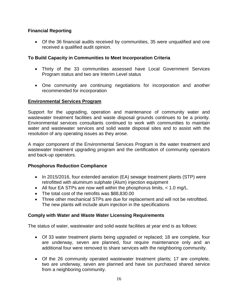#### **Financial Reporting**

• Of the 36 financial audits received by communities, 35 were unqualified and one received a qualified audit opinion.

#### **To Build Capacity in Communities to Meet Incorporation Criteria**

- Thirty of the 33 communities assessed have Local Government Services Program status and two are Interim Level status
- One community are continuing negotiations for incorporation and another recommended for incorporation

#### **Environmental Services Program**

Support for the upgrading, operation and maintenance of community water and wastewater treatment facilities and waste disposal grounds continues to be a priority. Environmental services consultants continued to work with communities to maintain water and wastewater services and solid waste disposal sites and to assist with the resolution of any operating issues as they arose.

A major component of the Environmental Services Program is the water treatment and wastewater treatment upgrading program and the certification of community operators and back-up operators.

#### **Phosphorus Reduction Compliance**

- In 2015/2016, four extended aeration (EA) sewage treatment plants (STP) were retrofitted with aluminum sulphate (Alum) injection equipment
- All four EA STPs are now well within the phosphorus limits, < 1.0 mg/L.
- The total cost of the retrofits was \$88,830.00
- Three other mechanical STPs are due for replacement and will not be retrofitted. The new plants will include alum injection in the specifications

#### **Comply with Water and Waste Water Licensing Requirements**

The status of water, wastewater and solid waste facilities at year end is as follows:

- Of 33 water treatment plants being upgraded or replaced; 18 are complete, four are underway, seven are planned, four require maintenance only and an additional four were removed to share services with the neighboring community.
- Of the 26 community operated wastewater treatment plants; 17 are complete, two are underway, seven are planned and have six purchased shared service from a neighboring community.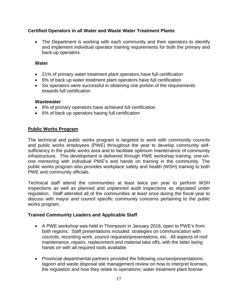#### **Certified Operators in all Water and Waste Water Treatment Plants**

• The Department is working with each community and their operators to identify and implement individual operator training requirements for both the primary and back-up operators.

#### **Water**

- 21% of primary water treatment plant operators have full certification
- 6% of back up water treatment plant operators have full certification
- Six operators were successful in obtaining one portion of the requirements towards full certification

#### **Wastewater**

- 8% of primary operators have achieved full certification
- 6% of back up operators having full certification

#### **Public Works Program**

The technical and public works program is targeted to work with community councils and public works employees (PWE) throughout the year to develop community selfsufficiency in the public works area and to facilitate optimum maintenance of community infrastructure. This development is delivered through PWE workshop training, one-onone mentoring with individual PWE's and hands on training in the community. The public works program also provides workplace safety and health (WSH) training to both PWE and community officials.

Technical staff attend the communities at least twice per year to perform WSH inspections as well as planned and unplanned audit inspections as stipulated under regulation. Staff attended all of the communities at least once during the fiscal year to discuss with mayor and council specific community concerns pertaining to the public works program.

#### **Trained Community Leaders and Applicable Staff**

- A PWE workshop was held in Thompson in January 2016, open to PWE's from both regions. Staff presentations included: strategies on communication with councils, recording work, council requests/presentations, etc. All aspects of roof maintenance, repairs, replacement and material take offs, with the latter being hands on with all required tools available.
- Provincial departmental partners provided the following courses/presentations: lagoon and waste disposal site management review on how to interpret licenses, the regulation and how they relate to operations; water treatment plant license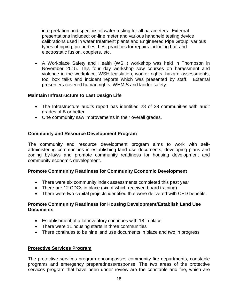interpretation and specifics of water testing for all parameters. External presentations included: on-line meter and various handheld testing device calibrations used in water treatment plants and Engineered Pipe Group: various types of piping, properties, best practices for repairs including butt and electrostatic fusion, couplers, etc.

• A Workplace Safety and Health (WSH) workshop was held in Thompson in November 2015. This four day workshop saw courses on harassment and violence in the workplace, WSH legislation, worker rights, hazard assessments, tool box talks and incident reports which was presented by staff. External presenters covered human rights, WHMIS and ladder safety.

#### **Maintain Infrastructure to Last Design Life**

- The Infrastructure audits report has identified 28 of 38 communities with audit grades of B or better.
- One community saw improvements in their overall grades.

#### **Community and Resource Development Program**

The community and resource development program aims to work with selfadministering communities in establishing land use documents; developing plans and zoning by-laws and promote community readiness for housing development and community economic development.

#### **Promote Community Readiness for Community Economic Development**

- There were six community index assessments completed this past year
- There are 12 CDCs in place (six of which received board training)
- There were two capital projects identified that were delivered with CED benefits

#### **Promote Community Readiness for Housing Development/Establish Land Use Documents**

- Establishment of a lot inventory continues with 18 in place
- There were 11 housing starts in three communities
- There continues to be nine land use documents in place and two in progress

#### **Protective Services Program**

The protective services program encompasses community fire departments, constable programs and emergency preparedness/response. The two areas of the protective services program that have been under review are the constable and fire, which are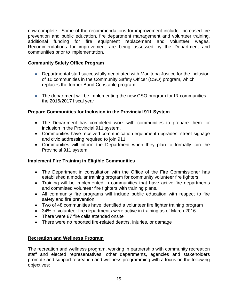now complete. Some of the recommendations for improvement include: increased fire prevention and public education, fire department management and volunteer training, additional funding for fire equipment replacement and volunteer wages. Recommendations for improvement are being assessed by the Department and communities prior to implementation.

#### **Community Safety Office Program**

- Departmental staff successfully negotiated with Manitoba Justice for the inclusion of 10 communities in the Community Safety Officer (CSO) program, which replaces the former Band Constable program.
- The department will be implementing the new CSO program for IR communities the 2016/2017 fiscal year

#### **Prepare Communities for Inclusion in the Provincial 911 System**

- The Department has completed work with communities to prepare them for inclusion in the Provincial 911 system.
- Communities have received communication equipment upgrades, street signage and civic addressing required to join 911.
- Communities will inform the Department when they plan to formally join the Provincial 911 system.

#### **Implement Fire Training in Eligible Communities**

- The Department in consultation with the Office of the Fire Commissioner has established a modular training program for community volunteer fire fighters.
- Training will be implemented in communities that have active fire departments and committed volunteer fire fighters with training plans.
- All community fire programs will include public education with respect to fire safety and fire prevention.
- Two of 48 communities have identified a volunteer fire fighter training program
- 34% of volunteer fire departments were active in training as of March 2016
- There were 87 fire calls attended onsite
- There were no reported fire-related deaths, injuries, or damage

#### **Recreation and Wellness Program**

The recreation and wellness program, working in partnership with community recreation staff and elected representatives, other departments, agencies and stakeholders promote and support recreation and wellness programming with a focus on the following objectives: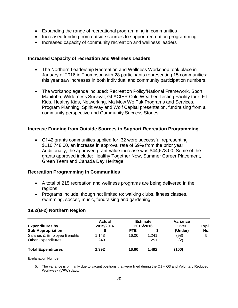- Expanding the range of recreational programming in communities
- Increased funding from outside sources to support recreation programming
- Increased capacity of community recreation and wellness leaders

#### **Increased Capacity of recreation and Wellness Leaders**

- The Northern Leadership Recreation and Wellness Workshop took place in January of 2016 in Thompson with 28 participants representing 15 communities; this year saw increases in both individual and community participation numbers.
- The workshop agenda included: Recreation Policy/National Framework, Sport Manitoba, Wilderness Survival, GLACIER Cold Weather Testing Facility tour, Fit Kids, Healthy Kids, Networking, Ma Mow We Tak Programs and Services, Program Planning, Spirit Way and Wolf Capital presentation, fundraising from a community perspective and Community Success Stories.

#### **Increase Funding from Outside Sources to Support Recreation Programming**

• Of 42 grants communities applied for, 32 were successful representing \$116,748.00, an increase in approval rate of 69% from the prior year. Additionally, the approved grant value increase was \$44,678.00. Some of the grants approved include: Healthy Together Now, Summer Career Placement, Green Team and Canada Day Heritage.

#### **Recreation Programming in Communities**

- A total of 215 recreation and wellness programs are being delivered in the regions
- Programs include, though not limited to: walking clubs, fitness classes, swimming, soccer, music, fundraising and gardening

#### **19.2(B-2) Northern Region**

| <b>Expenditures by</b>       | <b>Actual</b><br>2015/2016 | <b>Estimate</b><br>2015/2016 |       | Variance<br>Over | Expl. |
|------------------------------|----------------------------|------------------------------|-------|------------------|-------|
| <b>Sub-Appropriation</b>     |                            | <b>FTE</b>                   |       | (Under)          | No.   |
| Salaries & Employee Benefits | 1,143                      | 16.00                        | 1.241 | (98)             | 5     |
| <b>Other Expenditures</b>    | 249                        |                              | 251   | (2)              |       |
| <b>Total Expenditures</b>    | 1,392                      | 16.00                        | 1.492 | (100)            |       |

Explanation Number:

5. The variance is primarily due to vacant positions that were filled during the Q1 – Q3 and Voluntary Reduced Workweek (VRW) days.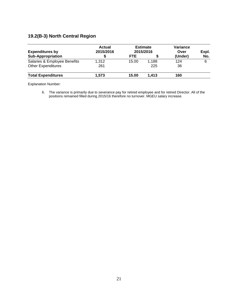## **19.2(B-3) North Central Region**

| <b>Expenditures by</b>       | <b>Actual</b><br>2015/2016 | <b>Estimate</b><br>2015/2016 |       | Variance<br>Over | Expl. |
|------------------------------|----------------------------|------------------------------|-------|------------------|-------|
| <b>Sub-Appropriation</b>     |                            | <b>FTE</b>                   |       | (Under)          | No.   |
| Salaries & Employee Benefits | 1,312                      | 15.00                        | 1.188 | 124              | 6     |
| <b>Other Expenditures</b>    | 261                        |                              | 225   | 36               |       |
| <b>Total Expenditures</b>    | 1.573                      | 15.00                        | 1.413 | 160              |       |

Explanation Number:

6. The variance is primarily due to severance pay for retired employee and for retired Director. All of the positions remained filled during 2015/16 therefore no turnover. MGEU salary increase.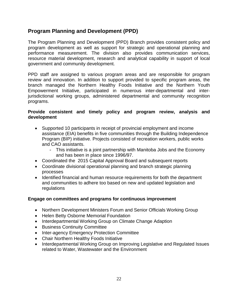### **Program Planning and Development (PPD)**

The Program Planning and Development (PPD) Branch provides consistent policy and program development as well as support for strategic and operational planning and performance measurement. The division also provides communication services, resource material development, research and analytical capability in support of local government and community development.

PPD staff are assigned to various program areas and are responsible for program review and innovation. In addition to support provided to specific program areas, the branch managed the Northern Healthy Foods Initiative and the Northern Youth Empowerment Initiative, participated in numerous inter-departmental and interjurisdictional working groups, administered departmental and community recognition programs.

#### **Provide consistent and timely policy and program review, analysis and development**

- Supported 10 participants in receipt of provincial employment and income assistance (EIA) benefits in five communities through the Building Independence Program (BIP) initiative. Projects consisted of recreation workers, public works and CAO assistants.
	- This initiative is a joint partnership with Manitoba Jobs and the Economy and has been in place since 1996/97.
- Coordinated the 2015 Capital Approval Board and subsequent reports
- Coordinate divisional operational planning and branch strategic planning processes
- Identified financial and human resource requirements for both the department and communities to adhere too based on new and updated legislation and regulations

#### **Engage on committees and programs for continuous improvement**

- Northern Development Ministers Forum and Senior Officials Working Group
- Helen Betty Osborne Memorial Foundation
- Interdepartmental Working Group on Climate Change Adaption
- Business Continuity Committee
- Inter-agency Emergency Protection Committee
- Chair Northern Healthy Foods Initiative
- Interdepartmental Working Group on Improving Legislative and Regulated Issues related to Water, Wastewater and the Environment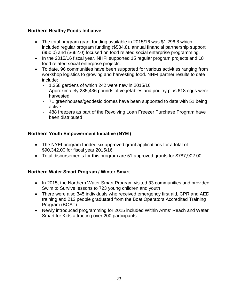#### **Northern Healthy Foods Initiative**

- The total program grant funding available in 2015/16 was \$1,296.8 which included regular program funding (\$584.8), annual financial partnership support (\$50.0) and (\$662.0) focused on food related social enterprise programming.
- In the 2015/16 fiscal year, NHFI supported 15 regular program projects and 18 food related social enterprise projects.
- To date, 96 communities have been supported for various activities ranging from workshop logistics to growing and harvesting food. NHFI partner results to date include:
	- $-$  1,258 gardens of which 242 were new in 2015/16
	- Approximately 235,436 pounds of vegetables and poultry plus 618 eggs were harvested
	- 71 greenhouses/geodesic domes have been supported to date with 51 being active
	- 488 freezers as part of the Revolving Loan Freezer Purchase Program have been distributed

#### **Northern Youth Empowerment Initiative (NYEI)**

- The NYEI program funded six approved grant applications for a total of \$90,342.00 for fiscal year 2015/16
- Total disbursements for this program are 51 approved grants for \$787,902.00.

#### **Northern Water Smart Program / Winter Smart**

- In 2015, the Northern Water Smart Program visited 33 communities and provided Swim to Survive lessons to 723 young children and youth
- There were also 345 individuals who received emergency first aid, CPR and AED training and 212 people graduated from the Boat Operators Accredited Training Program (BOAT)
- Newly introduced programming for 2015 included Within Arms' Reach and Water Smart for Kids attracting over 200 participants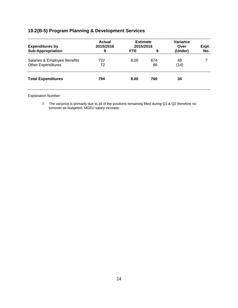### **19.2(B-5) Program Planning & Development Services**

| <b>Expenditures by</b>                                    | <b>Actual</b><br>2015/2016<br>\$ | <b>Estimate</b><br>2015/2016 |           | Variance<br>Over | Expl. |
|-----------------------------------------------------------|----------------------------------|------------------------------|-----------|------------------|-------|
| <b>Sub-Appropriation</b>                                  |                                  | <b>FTE</b>                   | \$        | (Under)          | No.   |
| Salaries & Employee Benefits<br><b>Other Expenditures</b> | 722<br>72                        | 8.00                         | 674<br>86 | 48<br>(14)       |       |
| <b>Total Expenditures</b>                                 | 794                              | 8.00                         | 760       | 34               |       |

Explanation Number:

7. The variance is primarily due to all of the positions remaining filled during Q1 & Q2 therefore no turnover as budgeted. MGEU salary increase.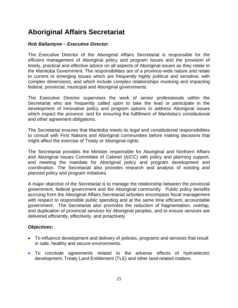# **Aboriginal Affairs Secretariat**

#### *Rob Ballantyne – Executive Director*

The Executive Director of the Aboriginal Affairs Secretariat is responsible for the efficient management of Aboriginal policy and program issues and the provision of timely, practical and effective advice on all aspects of Aboriginal issues as they relate to the Manitoba Government. The responsibilities are of a province-wide nature and relate to current or emerging issues which are frequently highly political and sensitive, with complex dimensions, and which include complex relationships involving and impacting federal, provincial, municipal and Aboriginal governments.

The Executive Director supervises the work of senior professionals within the Secretariat who are frequently called upon to take the lead or participate in the development of innovative policy and program options to address Aboriginal issues which impact the province, and for ensuring the fulfillment of Manitoba's constitutional and other agreement obligations.

The Secretariat ensures that Manitoba meets its legal and constitutional responsibilities to consult with First Nations and Aboriginal communities before making decisions that might affect the exercise of Treaty or Aboriginal rights.

The Secretariat provides the Minister responsible for Aboriginal and Northern Affairs and Aboriginal Issues Committee of Cabinet (AICC) with policy and planning support, and meeting the mandate for Aboriginal policy and program development and coordination. The Secretariat also provides research and analysis of existing and planned policy and program initiatives.

A major objective of the Secretariat is to manage the relationship between the provincial government, federal government and the Aboriginal community. Public policy benefits accruing from the Aboriginal Affairs Secretariat activities encompass fiscal management with respect to responsible public spending and at the same time efficient, accountable government. The Secretariat also promotes the reduction of fragmentation, overlap, and duplication of provincial services for Aboriginal peoples, and to ensure services are delivered efficiently, effectively, and proactively.

#### *Objectives:*

- To influence development and delivery of policies, programs and services that result in safe, healthy and secure environments.
- To conclude agreements related to the adverse effects of hydroelectric development, Treaty Land Entitlement (TLE) and other land-related matters.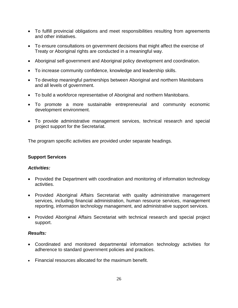- To fulfill provincial obligations and meet responsibilities resulting from agreements and other initiatives.
- To ensure consultations on government decisions that might affect the exercise of Treaty or Aboriginal rights are conducted in a meaningful way.
- Aboriginal self-government and Aboriginal policy development and coordination.
- To increase community confidence, knowledge and leadership skills.
- To develop meaningful partnerships between Aboriginal and northern Manitobans and all levels of government.
- To build a workforce representative of Aboriginal and northern Manitobans.
- To promote a more sustainable entrepreneurial and community economic development environment.
- To provide administrative management services, technical research and special project support for the Secretariat.

The program specific activities are provided under separate headings.

#### **Support Services**

#### *Activities:*

- Provided the Department with coordination and monitoring of information technology activities.
- Provided Aboriginal Affairs Secretariat with quality administrative management services, including financial administration, human resource services, management reporting, information technology management, and administrative support services.
- Provided Aboriginal Affairs Secretariat with technical research and special project support.

#### *Results:*

- Coordinated and monitored departmental information technology activities for adherence to standard government policies and practices.
- Financial resources allocated for the maximum benefit.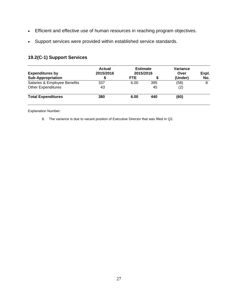- Efficient and effective use of human resources in reaching program objectives.
- Support services were provided within established service standards.

### **19.2(C-1) Support Services**

| <b>Expenditures by</b>       | Actual<br>2015/2016 | <b>Estimate</b><br>2015/2016 |     | Variance<br>Over | Expl. |
|------------------------------|---------------------|------------------------------|-----|------------------|-------|
| <b>Sub-Appropriation</b>     |                     | FTE                          |     | (Under)          | No.   |
| Salaries & Employee Benefits | 337                 | 6.00                         | 395 | (58)             | 8     |
| <b>Other Expenditures</b>    | 43                  |                              | 45  | (2)              |       |
| <b>Total Expenditures</b>    | 380                 | 6.00                         | 440 | (60)             |       |

Explanation Number:

8. The variance is due to vacant position of Executive Director that was filled in Q2.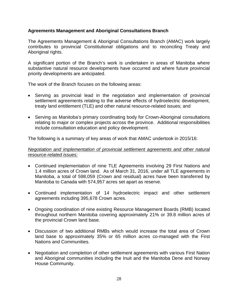#### **Agreements Management and Aboriginal Consultations Branch**

The Agreements Management & Aboriginal Consultations Branch (AMAC) work largely contributes to provincial Constitutional obligations and to reconciling Treaty and Aboriginal rights.

A significant portion of the Branch's work is undertaken in areas of Manitoba where substantive natural resource developments have occurred and where future provincial priority developments are anticipated.

The work of the Branch focuses on the following areas:

- Serving as provincial lead in the negotiation and implementation of provincial settlement agreements relating to the adverse effects of hydroelectric development, treaty land entitlement (TLE) and other natural resource-related issues; and
- Serving as Manitoba's primary coordinating body for Crown-Aboriginal consultations relating to major or complex projects across the province. Additional responsibilities include consultation education and policy development.

The following is a summary of key areas of work that AMAC undertook in 2015/16:

#### *Negotiation and implementation of provincial settlement agreements and other natural resource-related issues:*

- Continued implementation of nine TLE Agreements involving 29 First Nations and 1.4 million acres of Crown land. As of March 31, 2016, under all TLE agreements in Manitoba, a total of 598,059 (Crown and residual) acres have been transferred by Manitoba to Canada with 574,957 acres set apart as reserve.
- Continued implementation of 14 hydroelectric impact and other settlement agreements including 395,678 Crown acres.
- Ongoing coordination of nine existing Resource Management Boards (RMB) located throughout northern Manitoba covering approximately 21% or 39.8 million acres of the provincial Crown land base.
- Discussion of two additional RMBs which would increase the total area of Crown land base to approximately 35% or 65 million acres co-managed with the First Nations and Communities.
- Negotiation and completion of other settlement agreements with various First Nation and Aboriginal communities including the Inuit and the Manitoba Dene and Norway House Community.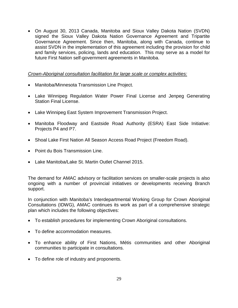• On August 30, 2013 Canada, Manitoba and Sioux Valley Dakota Nation (SVDN) signed the Sioux Valley Dakota Nation Governance Agreement and Tripartite Governance Agreement. Since then, Manitoba, along with Canada, continue to assist SVDN in the implementation of this agreement including the provision for child and family services, policing, lands and education. This may serve as a model for future First Nation self-government agreements in Manitoba.

#### *Crown-Aboriginal consultation facilitation for large scale or complex activities:*

- Manitoba/Minnesota Transmission Line Project.
- Lake Winnipeg Regulation Water Power Final License and Jenpeg Generating Station Final License.
- Lake Winnipeg East System Improvement Transmission Project.
- Manitoba Floodway and Eastside Road Authority (ESRA) East Side Initiative: Projects P4 and P7.
- Shoal Lake First Nation All Season Access Road Project (Freedom Road).
- Point du Bois Transmission Line.
- Lake Manitoba/Lake St. Martin Outlet Channel 2015.

The demand for AMAC advisory or facilitation services on smaller-scale projects is also ongoing with a number of provincial initiatives or developments receiving Branch support.

In conjunction with Manitoba's Interdepartmental Working Group for Crown Aboriginal Consultations (IDWG), AMAC continues its work as part of a comprehensive strategic plan which includes the following objectives:

- To establish procedures for implementing Crown Aboriginal consultations.
- To define accommodation measures.
- To enhance ability of First Nations, Métis communities and other Aboriginal communities to participate in consultations.
- To define role of industry and proponents.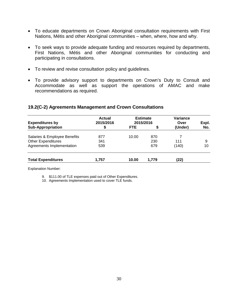- To educate departments on Crown Aboriginal consultation requirements with First Nations, Métis and other Aboriginal communities – when, where, how and why.
- To seek ways to provide adequate funding and resources required by departments, First Nations, Métis and other Aboriginal communities for conducting and participating in consultations.
- To review and revise consultation policy and guidelines.
- To provide advisory support to departments on Crown's Duty to Consult and Accommodate as well as support the operations of AMAC and make recommendations as required.

#### **19.2(C-2) Agreements Management and Crown Consultations**

| <b>Expenditures by</b>       | Actual<br>2015/2016 | <b>Estimate</b><br>2015/2016 |       | Variance<br>Over | Expl. |
|------------------------------|---------------------|------------------------------|-------|------------------|-------|
| <b>Sub-Appropriation</b>     | \$                  | <b>FTE</b>                   | S     | (Under)          | No.   |
| Salaries & Employee Benefits | 877                 | 10.00                        | 870   |                  |       |
| <b>Other Expenditures</b>    | 341                 |                              | 230   | 111              | 9     |
| Agreements Implementation    | 539                 |                              | 679   | (140)            | 10    |
| <b>Total Expenditures</b>    | 1.757               | 10.00                        | 1.779 | (22)             |       |

Explanation Number:

9. \$111.00 of TLE expenses paid out of Other Expenditures.

10. Agreements Implementation used to cover TLE funds.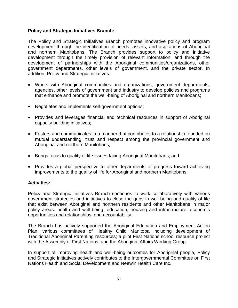#### **Policy and Strategic Initiatives Branch:**

The Policy and Strategic Initiatives Branch promotes innovative policy and program development through the identification of needs, assets, and aspirations of Aboriginal and northern Manitobans. The Branch provides support to policy and initiative development through the timely provision of relevant information, and through the development of partnerships with the Aboriginal communities/organizations, other government departments, other levels of government, and the private sector. In addition, Policy and Strategic Initiatives:

- Works with Aboriginal communities and organizations, government departments, agencies, other levels of government and industry to develop policies and programs that enhance and promote the well-being of Aboriginal and northern Manitobans;
- Negotiates and implements self-government options;
- Provides and leverages financial and technical resources in support of Aboriginal capacity building initiatives;
- Fosters and communicates in a manner that contributes to a relationship founded on mutual understanding, trust and respect among the provincial government and Aboriginal and northern Manitobans;
- Brings focus to quality of life issues facing Aboriginal Manitobans; and
- Provides a global perspective to other departments of progress toward achieving improvements to the quality of life for Aboriginal and northern Manitobans.

#### **Activities***:*

Policy and Strategic Initiatives Branch continues to work collaboratively with various government strategies and initiatives to close the gaps in well-being and quality of life that exist between Aboriginal and northern residents and other Manitobans in major policy areas: health and well-being, education, housing and infrastructure, economic opportunities and relationships, and accountability.

The Branch has actively supported the Aboriginal Education and Employment Action Plan; various committees of Healthy Child Manitoba including development of Traditional Aboriginal Parenting resources; a pilot First Nations school resource project with the Assembly of First Nations; and the Aboriginal Affairs Working Group.

In support of improving health and well-being outcomes for Aboriginal people, Policy and Strategic Initiatives actively contributes to the Intergovernmental Committee on First Nations Health and Social Development and Neewin Health Care Inc.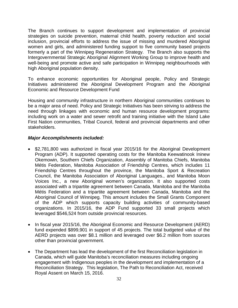The Branch continues to support development and implementation of provincial strategies on suicide prevention, maternal child health, poverty reduction and social inclusion, provincial efforts to address the issue of missing and murdered Aboriginal women and girls, and administered funding support to five community based projects formerly a part of the Winnipeg Regeneration Strategy. The Branch also supports the Intergovernmental Strategic Aboriginal Alignment Working Group to improve health and well-being and promote active and safe participation in Winnipeg neighbourhoods with high Aboriginal population density.

To enhance economic opportunities for Aboriginal people, Policy and Strategic Initiatives administered the Aboriginal Development Program and the Aboriginal Economic and Resource Development Fund

Housing and community infrastructure in northern Aboriginal communities continues to be a major area of need. Policy and Strategic Initiatives has been striving to address the need through linkages with economic and human resource development programs: including work on a water and sewer retrofit and training initiative with the Island Lake First Nation communities, Tribal Council, federal and provincial departments and other stakeholders.

#### *Major Accomplishments included:*

- \$2,781,800 was authorized in fiscal year 2015/16 for the Aboriginal Development Program (ADP). It supported operating costs for the Manitoba Keewatinook Ininew Okemowin, Southern Chiefs Organization, Assembly of Manitoba Chiefs, Manitoba Métis Federation, Manitoba Association of Friendship Centres, which includes 11 Friendship Centres throughout the province, the Manitoba Sport & Recreation Council, the Manitoba Association of Aboriginal Languages., and Manitoba Moon Voices Inc., a new Aboriginal women's organization. It also supported costs associated with a tripartite agreement between Canada, Manitoba and the Manitoba Métis Federation and a tripartite agreement between Canada, Manitoba and the Aboriginal Council of Winnipeg. This amount includes the Small Grants Component of the ADP which supports capacity building activities of community-based organizations. In 2015/16, the ADP Fund supported 33 small projects which leveraged \$546,524 from outside provincial resources.
- In fiscal year 2015/16, the Aboriginal Economic and Resource Development (AERD) fund expended \$899,901 in support of 45 projects. The total budgeted value of the AERD projects was over \$8.1 million and leveraged over \$6.2 million from sources other than provincial government.
- The Department has lead the development of the first Reconciliation legislation in Canada, which will guide Manitoba's reconciliation measures including ongoing engagement with Indigenous peoples in the development and implementation of a Reconciliation Strategy. This legislation, The Path to Reconciliation Act, received Royal Assent on March 15, 2016.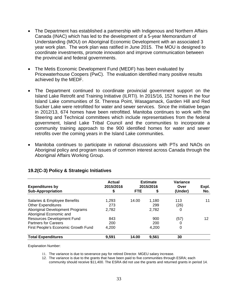- The Department has established a partnership with Indigenous and Northern Affairs Canada (INAC) which has led to the development of a 5-year Memorandum of Understanding (MOU) on Aboriginal Economic Development with an associated 3 year work plan. The work plan was ratified in June 2015. The MOU is designed to coordinate investments, promote innovation and improve communication between the provincial and federal governments.
- The Metis Economic Development Fund (MEDF) has been evaluated by Pricewaterhouse Coopers (PwC). The evaluation identified many positive results achieved by the MEDF.
- The Department continued to coordinate provincial government support on the Island Lake Retrofit and Training Initiative (ILRTI). In 2015/16, 152 homes in the four Island Lake communities of St. Theresa Point, Wasagamack, Garden Hill and Red Sucker Lake were retrofitted for water and sewer services. Since the initiative began in 2012/13, 674 homes have been retrofitted. Manitoba continues to work with the Steering and Technical committees which include representatives from the federal government, Island Lake Tribal Council and the communities to incorporate a community training approach to the 900 identified homes for water and sewer retrofits over the coming years in the Island Lake communities.
- Manitoba continues to participate in national discussions with PTs and NAOs on Aboriginal policy and program issues of common interest across Canada through the Aboriginal Affairs Working Group.

| <b>Expenditures by</b>              | Actual<br>2015/2016 |            | <b>Estimate</b><br>2015/2016 | Variance<br>Over | Expl. |
|-------------------------------------|---------------------|------------|------------------------------|------------------|-------|
| <b>Sub-Appropriation</b>            | \$                  | <b>FTE</b> | S                            | (Under)          | No.   |
| Salaries & Employee Benefits        | 1,293               | 14.00      | 1,180                        | 113              | 11    |
| <b>Other Expenditures</b>           | 273                 |            | 299                          | (26)             |       |
| Aboriginal Development Programs     | 2,782               |            | 2,782                        | 0                |       |
| Aboriginal Economic and             |                     |            |                              |                  |       |
| Resources Development Fund          | 843                 |            | 900                          | (57)             | 12    |
| <b>Partners for Careers</b>         | 200                 |            | 200                          | 0                |       |
| First People's Economic Growth Fund | 4,200               |            | 4,200                        | 0                |       |
| <b>Total Expenditures</b>           | 9.591               | 14.00      | 9,561                        | 30               |       |

#### **19.2(C-3) Policy & Strategic Initiatives**

Explanation Number:

- 11. The variance is due to severance pay for retired Director. MGEU salary increase.
- 12. The variance is due to the grants that have been paid to five communities through ESRA; each community should receive \$11,400. The ESRA did not use the grants and returned grants in period 14.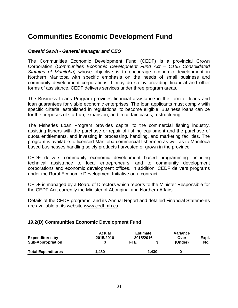# **Communities Economic Development Fund**

#### *Oswald Sawh - General Manager and CEO*

The Communities Economic Development Fund (CEDF) is a provincial Crown Corporation (*Communities Economic Development Fund Act – C155 Consolidated Statutes of Manitoba)* whose objective is to encourage economic development in Northern Manitoba with specific emphasis on the needs of small business and community development corporations. It may do so by providing financial and other forms of assistance. CEDF delivers services under three program areas.

The Business Loans Program provides financial assistance in the form of loans and loan guarantees for viable economic enterprises. The loan applicants must comply with specific criteria, established in regulations, to become eligible. Business loans can be for the purposes of start-up, expansion, and in certain cases, restructuring.

The Fisheries Loan Program provides capital to the commercial fishing industry, assisting fishers with the purchase or repair of fishing equipment and the purchase of quota entitlements, and investing in processing, handling, and marketing facilities. The program is available to licensed Manitoba commercial fishermen as well as to Manitoba based businesses handling solely products harvested or grown in the province.

CEDF delivers community economic development based programming including technical assistance to local entrepreneurs, and to community development corporations and economic development offices. In addition, CEDF delivers programs under the Rural Economic Development Initiative on a contract.

CEDF is managed by a Board of Directors which reports to the Minister Responsible for the CEDF Act, currently the Minister of Aboriginal and Northern Affairs.

Details of the CEDF programs, and its Annual Report and detailed Financial Statements are available at its website [www.cedf.mb.ca](http://www.cedf.mb.ca/) .

#### **19.2(D) Communities Economic Development Fund**

| <b>Expenditures by</b>    | Actual<br>2015/2016 | <b>Estimate</b><br>2015/2016 |       | Variance<br>Over | Expl. |  |
|---------------------------|---------------------|------------------------------|-------|------------------|-------|--|
| <b>Sub-Appropriation</b>  |                     | <b>FTE</b>                   |       | (Under)          | No.   |  |
| <b>Total Expenditures</b> | 1.430               |                              | 1.430 | U                |       |  |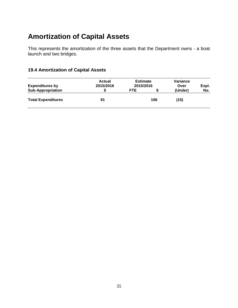# **Amortization of Capital Assets**

This represents the amortization of the three assets that the Department owns - a boat launch and two bridges.

### **19.4 Amortization of Capital Assets**

| <b>Expenditures by</b>    | Actual<br>2015/2016 | <b>Estimate</b><br>2015/2016 |     | Variance<br>Over | Expl. |
|---------------------------|---------------------|------------------------------|-----|------------------|-------|
| <b>Sub-Appropriation</b>  |                     | FTE                          |     | (Under)          | No.   |
| <b>Total Expenditures</b> | 91                  |                              | 106 | (15)             |       |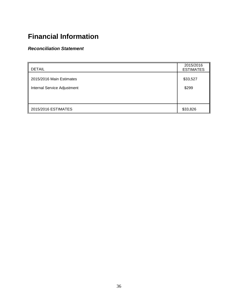# **Financial Information**

#### *Reconciliation Statement*

| <b>DETAIL</b>               | 2015/2016<br><b>ESTIMATES</b> |
|-----------------------------|-------------------------------|
| 2015/2016 Main Estimates    | \$33,527                      |
| Internal Service Adjustment | \$299                         |
|                             |                               |
| 2015/2016 ESTIMATES         | \$33,826                      |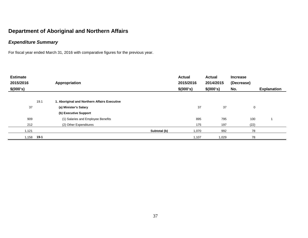## *Expenditure Summary*

For fiscal year ended March 31, 2016 with comparative figures for the previous year.

| <b>Estimate</b><br>2015/2016<br>\$(000's) |      | Appropriation                                |              | <b>Actual</b><br>2015/2016<br>\$(000's) | <b>Actual</b><br>2014/2015<br>\$(000's) | <b>Increase</b><br>(Decrease)<br>No. | <b>Explanation</b> |
|-------------------------------------------|------|----------------------------------------------|--------------|-----------------------------------------|-----------------------------------------|--------------------------------------|--------------------|
|                                           |      |                                              |              |                                         |                                         |                                      |                    |
|                                           | 19.1 | 1. Aboriginal and Northern Affairs Executive |              |                                         |                                         |                                      |                    |
| 37                                        |      | (a) Minister's Salary                        |              | 37                                      | 37                                      | 0                                    |                    |
|                                           |      | (b) Executive Support                        |              |                                         |                                         |                                      |                    |
| 909                                       |      | (1) Salaries and Employee Benefits           |              | 895                                     | 795                                     | 100                                  |                    |
| 212                                       |      | (2) Other Expenditures                       |              | 175                                     | 197                                     | (22)                                 |                    |
| 1,121                                     |      |                                              | Subtotal (b) | 1,070                                   | 992                                     | 78                                   |                    |
| 851,⊺                                     | 19-1 |                                              |              | 1,107                                   | 1,029                                   | 78                                   |                    |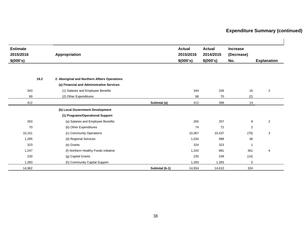# **Expenditure Summary (continued)**

| <b>Estimate</b> |      |                                               |                | <b>Actual</b> | <b>Actual</b> | <b>Increase</b> |                    |
|-----------------|------|-----------------------------------------------|----------------|---------------|---------------|-----------------|--------------------|
| 2015/2016       |      | Appropriation                                 |                | 2015/2016     | 2014/2015     | (Decrease)      |                    |
| \$(000's)       |      |                                               |                | \$(000's)     | \$(000's)     | No.             | <b>Explanation</b> |
|                 |      |                                               |                |               |               |                 |                    |
|                 | 19.2 | 2. Aboriginal and Northern Affairs Operations |                |               |               |                 |                    |
|                 |      | (a) Financial and Administrative Services     |                |               |               |                 |                    |
| 343             |      | (1) Salaries and Employee Benefits            |                | 344           | 328           | 16              | $\overline{c}$     |
| 69              |      | (2) Other Expenditures                        |                | 68            | 70            | (2)             |                    |
| 412             |      |                                               | Subtotal (a)   | 412           | 398           | 14              |                    |
|                 |      | (b) Local Government Development              |                |               |               |                 |                    |
|                 |      | (1) Programs/Operational Support              |                |               |               |                 |                    |
| 263             |      | (a) Salaries and Employee Benefits            |                | 265           | 257           | 8               | 2                  |
| 70              |      | (b) Other Expenditures                        |                | 74            | 72            | 2               |                    |
| 10,151          |      | (c) Community Operations                      |                | 10,367        | 10,437        | (70)            | 3                  |
| 1,285           |      | (d) Regional Services                         |                | 1,034         | 998           | 36              |                    |
| 323             |      | (e) Grants                                    |                | 324           | 323           | $\overline{1}$  |                    |
| 1,247           |      | (f) Northern Healthy Foods Initiative         |                | 1,242         | 881           | 361             | $\overline{4}$     |
| 230             |      | (g) Capital Grants                            |                | 235           | 249           | (14)            |                    |
| 1,393           |      | (h) Community Capital Support                 |                | 1,393         | 1,393         | $\mathbf 0$     |                    |
| 14,962          |      |                                               | Subtotal (b-1) | 14,934        | 14,610        | 324             |                    |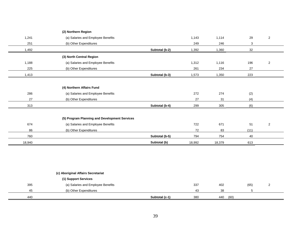|        | (2) Northern Region                           |                |        |        |      |                |
|--------|-----------------------------------------------|----------------|--------|--------|------|----------------|
| 1,241  | (a) Salaries and Employee Benefits            |                | 1,143  | 1,114  | 29   | $\overline{c}$ |
| 251    | (b) Other Expenditures                        |                | 249    | 246    | 3    |                |
| 1,492  |                                               | Subtotal (b-2) | 1,392  | 1,360  | 32   |                |
|        | (3) North Central Region                      |                |        |        |      |                |
| 1,188  | (a) Salaries and Employee Benefits            |                | 1,312  | 1,116  | 196  | $\overline{2}$ |
| 225    | (b) Other Expenditures                        |                | 261    | 234    | 27   |                |
| 1,413  |                                               | Subtotal (b-3) | 1,573  | 1,350  | 223  |                |
|        |                                               |                |        |        |      |                |
|        | (4) Northern Affairs Fund                     |                |        |        |      |                |
| 286    | (a) Salaries and Employee Benefits            |                | 272    | 274    | (2)  |                |
| 27     | (b) Other Expenditures                        |                | 27     | 31     | (4)  |                |
| 313    |                                               | Subtotal (b-4) | 299    | 305    | (6)  |                |
|        | (5) Program Planning and Development Services |                |        |        |      |                |
| 674    | (a) Salaries and Employee Benefits            |                | 722    | 671    | 51   | $\overline{c}$ |
| 86     | (b) Other Expenditures                        |                | 72     | 83     | (11) |                |
| 760    |                                               | Subtotal (b-5) | 794    | 754    | 40   |                |
| 18,940 |                                               | Subtotal (b)   | 18,992 | 18,379 | 613  |                |

|     | (c) Aboriginal Affairs Secretariat |                |     |             |      |  |
|-----|------------------------------------|----------------|-----|-------------|------|--|
|     | (1) Support Services               |                |     |             |      |  |
| 395 | (a) Salaries and Employee Benefits |                | 337 | 402         | (65) |  |
| 45  | (b) Other Expenditures             |                | 43  | 38          |      |  |
| 440 |                                    | Subtotal (c-1) | 380 | (60)<br>440 |      |  |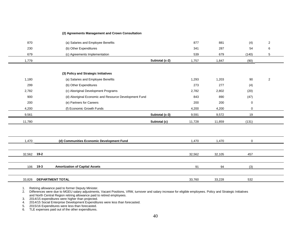#### **(2) Agreements Management and Crown Consultation**

| 870    | (a) Salaries and Employee Benefits                    | 877    | 881    | (4)         | $\overline{c}$ |
|--------|-------------------------------------------------------|--------|--------|-------------|----------------|
| 230    | (b) Other Expenditures                                | 341    | 287    | 54          | 6              |
| 679    | (c) Agreements Implementation                         | 539    | 679    | (140)       | 5              |
| 1,779  | Subtotal (c-2)                                        | 1,757  | 1,847  | (90)        |                |
|        |                                                       |        |        |             |                |
|        | (3) Policy and Strategic Initiatives                  |        |        |             |                |
| 1,180  | (a) Salaries and Employee Benefits                    | 1,293  | 1,203  | 90          | $\mathbf{2}$   |
| 299    | (b) Other Expenditures                                | 273    | 277    | (4)         |                |
| 2,782  | (c) Aboriginal Development Programs                   | 2,782  | 2,802  | (20)        |                |
| 900    | (d) Aboriginal Economic and Resource Development Fund | 843    | 890    | (47)        |                |
| 200    | (e) Partners for Careers                              | 200    | 200    | $\mathbf 0$ |                |
| 4,200  | (f) Economic Growth Funds                             | 4,200  | 4,200  | 0           |                |
| 9,561  | Subtotal (c-3)                                        | 9,591  | 9,572  | 19          |                |
| 11,780 | Subtotal (c)                                          | 11,728 | 11,859 | (131)       |                |
|        |                                                       |        |        |             |                |
|        |                                                       |        |        |             |                |
| 1,470  | (d) Communities Economic Development Fund             | 1,470  | 1,470  | 0           |                |
|        |                                                       |        |        |             |                |
| 32,562 | $19-2$                                                | 32,562 | 32,105 | 457         |                |
|        |                                                       |        |        |             |                |
| 106    | $19-3$<br><b>Amortization of Capital Assets</b>       | 91     | 94     | (3)         |                |
|        |                                                       |        |        |             |                |
| 33,826 | <b>DEPARTMENT TOTAL</b>                               | 33,760 | 33,228 | 532         |                |

1. Retiring allowance paid to former Deputy Minister.

2. Differences were due to MGEU salary adjustments, Vacant Positions, VRW, turnover and salary increase for eligible employees. Policy and Strategic Initiatives and North Central Region retiring allowance paid to retired employees.

3. 2014/15 expenditures were higher than projected.

4. 2014/15 Social Enterprise Development Expenditures were less than forecasted.

5. 2015/16 Expenditures were less than forecasted.

6. TLE expenses paid out of the other expenditures.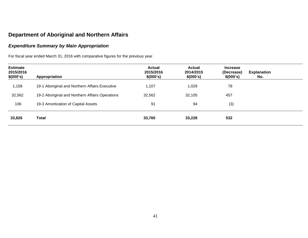#### *Expenditure Summary by Main Appropriation*

For fiscal year ended March 31, 2016 with comparative figures for the previous year.

| <b>Estimate</b><br>2015/2016<br>\$(000's) | Appropriation                                   | <b>Actual</b><br>2015/2016<br>\$(000's) | <b>Actual</b><br>2014/2015<br>\$(000's) | <b>Increase</b><br>(Decrease)<br>\$(000's) | <b>Explanation</b><br>No. |  |
|-------------------------------------------|-------------------------------------------------|-----------------------------------------|-----------------------------------------|--------------------------------------------|---------------------------|--|
| 1,158                                     | 19-1 Aboriginal and Northern Affairs Executive  | 1,107                                   | 1,029                                   | 78                                         |                           |  |
| 32,562                                    | 19-2 Aboriginal and Northern Affairs Operations | 32,562                                  | 32,105                                  | 457                                        |                           |  |
| 106                                       | 19-3 Amortization of Capital Assets             | 91                                      | 94                                      | (3)                                        |                           |  |
| 33,826                                    | Total                                           | 33,760                                  | 33,228                                  | 532                                        |                           |  |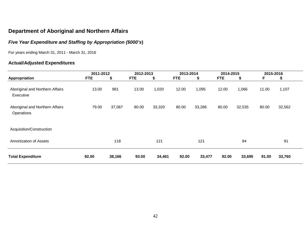# *Five Year Expenditure and Staffing by Appropriation (\$000's***)**

For years ending March 31, 2011 - March 31, 2016

### **Actual/Adjusted Expenditures**

|                                               | 2011-2012  |        | 2012-2013  |        | 2013-2014  |        | 2014-2015  |        | 2015-2016 |        |  |
|-----------------------------------------------|------------|--------|------------|--------|------------|--------|------------|--------|-----------|--------|--|
| Appropriation                                 | <b>FTE</b> | \$     | <b>FTE</b> | \$     | <b>FTE</b> | \$     | <b>FTE</b> | \$     | F         | S      |  |
| Aboriginal and Northern Affairs<br>Executive  | 13.00      | 981    | 13.00      | 1,020  | 12.00      | 1,095  | 12.00      | 1,066  | 11.00     | 1,107  |  |
| Aboriginal and Northern Affairs<br>Operations | 79.00      | 37,067 | 80.00      | 33,320 | 80.00      | 33,286 | 80.00      | 32,535 | 80.00     | 32,562 |  |
| Acquisition/Construction                      |            |        |            |        |            |        |            |        |           |        |  |
| Amortization of Assets                        |            | 118    |            | 121    |            | 121    |            | 94     |           | 91     |  |
| <b>Total Expenditure</b>                      | 92.00      | 38,166 | 93.00      | 34,461 | 92.00      | 33,477 | 92.00      | 33,695 | 91.00     | 33,760 |  |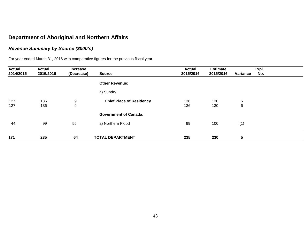### *Revenue Summary by Source (\$000's)*

For year ended March 31, 2016 with comparative figures for the previous fiscal year

| <b>Actual</b><br>2014/2015 | <b>Actual</b><br>2015/2016 | <b>Increase</b><br>(Decrease) | <b>Source</b>                   | <b>Actual</b><br>2015/2016 | <b>Estimate</b><br>2015/2016 | Variance      | Expl.<br>No. |
|----------------------------|----------------------------|-------------------------------|---------------------------------|----------------------------|------------------------------|---------------|--------------|
|                            |                            |                               | <b>Other Revenue:</b>           |                            |                              |               |              |
|                            |                            |                               | a) Sundry                       |                            |                              |               |              |
| $\frac{127}{127}$          | <u>136</u><br>136          | $\frac{9}{9}$                 | <b>Chief Place of Residency</b> | <u>136</u><br>136          | $\frac{130}{130}$            | $\frac{6}{6}$ |              |
|                            |                            |                               | <b>Government of Canada:</b>    |                            |                              |               |              |
| 44                         | 99                         | 55                            | a) Northern Flood               | 99                         | 100                          | (1)           |              |
| 171                        | 235                        | 64                            | <b>TOTAL DEPARTMENT</b>         | 235                        | 230                          | 5             |              |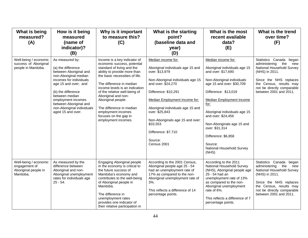| What is being<br>measured?<br>(A)                                           | How is it being<br>measured<br>(name of<br>indicator)?<br>(B)                                                                                                                                                                                                                          | Why is it important<br>to measure this?<br>(C)                                                                                                                                                                                                                                                                                                                                                            | What is the starting<br>point?<br>(baseline data and<br>year)<br>(D)                                                                                                                                                                                                                                                                                  | What is the most<br>recent available<br>data?<br>(E)                                                                                                                                                                                                                                                                                                                                   | What is the trend<br>over time?<br>(F)                                                                                                                                                                                |
|-----------------------------------------------------------------------------|----------------------------------------------------------------------------------------------------------------------------------------------------------------------------------------------------------------------------------------------------------------------------------------|-----------------------------------------------------------------------------------------------------------------------------------------------------------------------------------------------------------------------------------------------------------------------------------------------------------------------------------------------------------------------------------------------------------|-------------------------------------------------------------------------------------------------------------------------------------------------------------------------------------------------------------------------------------------------------------------------------------------------------------------------------------------------------|----------------------------------------------------------------------------------------------------------------------------------------------------------------------------------------------------------------------------------------------------------------------------------------------------------------------------------------------------------------------------------------|-----------------------------------------------------------------------------------------------------------------------------------------------------------------------------------------------------------------------|
| Well-being / economic<br>success of Aboriginal<br>people in Manitoba.       | As measured by:<br>(a) the difference<br>between Aboriginal and<br>non-Aboriginal median<br>incomes for individuals<br>age 15 and over; and<br>(b) the difference<br>between median<br>employment incomes<br>between Aboriginal and<br>non-Aboriginal individuals<br>aged 15 and over. | Income is a key indicator of<br>economic success, potential<br>standard of living and the<br>ability to provide more than<br>the basic necessities of life.<br>The difference in median<br>income levels is an indication<br>of the relative well-being of<br>Aboriginal and non-<br>Aboriginal people.<br>The difference in median<br>employment incomes<br>focuses on the gap in<br>employment incomes. | Median income for:<br>Aboriginal individuals age 15 and<br>over: \$13,979<br>Non-Aboriginal individuals age 15<br>and over: \$24,270<br>Difference: \$10,291<br>Median Employment Income for:<br>Aboriginal individuals age 15 and<br>over: \$25,843<br>Non-Aboriginals age 15 and over:<br>\$33,553<br>Difference: \$7,710<br>Source:<br>Census 2001 | Median income for:<br>Aboriginal individuals age 15<br>and over: \$17,690<br>Non-Aboriginal individuals<br>age 15 and over: \$30,709<br>Difference: \$13,019<br><b>Median Employment Income</b><br>for:<br>Aboriginal individuals age 15<br>and over: \$24,456<br>Non-Aboriginals age 15 and<br>over: \$31,314<br>Difference: \$6,858<br>Source:<br>National Household Survey<br>(NHS) | Statistics Canada<br>began<br>administering<br>the<br>new<br>National Household Survey<br>(NHS) in 2011.<br>Since the NHS replaces<br>the Census, results may<br>not be directly comparable<br>between 2001 and 2011. |
| Well-being / economic<br>engagement of<br>Aboriginal people in<br>Manitoba. | As measured by the<br>difference between<br>Aboriginal and non-<br>Aboriginal unemployment<br>rates for individuals age<br>$25 - 54.$                                                                                                                                                  | Engaging Aboriginal people<br>in the economy is critical to<br>the future success of<br>Manitoba's economy and<br>contributes to the well-being<br>of Aboriginal people in<br>Manitoba.<br>The difference in<br>unemployment rates<br>provides one indicator of<br>their relative participation in                                                                                                        | According to the 2001 Census,<br>Aboriginal people age 25 - 54<br>had an unemployment rate of<br>17% as compared to the non-<br>Aboriginal unemployment rate of<br>3%.<br>This reflects a difference of 14<br>percentage points.                                                                                                                      | According to the 2011<br>National Household Survey<br>(NHS), Aboriginal people age<br>25 - 54 had an<br>unemployment rate of 13%<br>as compared to the non-<br>Aboriginal unemployment<br>rate of 6%.<br>This reflects a difference of 7<br>percentage points.                                                                                                                         | Statistics Canada<br>began<br>administering<br>the<br>new<br>National Household Survey<br>(NHS) in 2011.<br>Since the NHS replaces<br>the Census, results may<br>not be directly comparable<br>between 2001 and 2011. |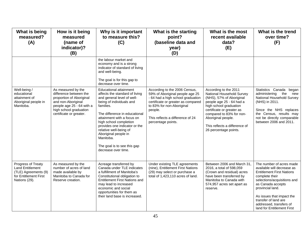| What is being<br>measured?<br>(A)                                                                        | How is it being<br>measured<br>(name of<br>indicator)?<br>(B)                                                                                                                    | Why is it important<br>to measure this?<br>(C)                                                                                                                                                                                                                                                                                                                                 | What is the starting<br>point?<br>(baseline data and<br>year)<br>(D)                                                                                                                                                                          | What is the most<br>recent available<br>data?<br>(E)                                                                                                                                                                                                                          | What is the trend<br>over time?<br>(F)                                                                                                                                                                                                                                                             |
|----------------------------------------------------------------------------------------------------------|----------------------------------------------------------------------------------------------------------------------------------------------------------------------------------|--------------------------------------------------------------------------------------------------------------------------------------------------------------------------------------------------------------------------------------------------------------------------------------------------------------------------------------------------------------------------------|-----------------------------------------------------------------------------------------------------------------------------------------------------------------------------------------------------------------------------------------------|-------------------------------------------------------------------------------------------------------------------------------------------------------------------------------------------------------------------------------------------------------------------------------|----------------------------------------------------------------------------------------------------------------------------------------------------------------------------------------------------------------------------------------------------------------------------------------------------|
|                                                                                                          |                                                                                                                                                                                  | the labour market and<br>economy and is a strong<br>indicator of standard of living<br>and well-being.<br>The goal is for this gap to<br>decrease over time.                                                                                                                                                                                                                   |                                                                                                                                                                                                                                               |                                                                                                                                                                                                                                                                               |                                                                                                                                                                                                                                                                                                    |
| Well-being /<br>educational<br>attainment of<br>Aboriginal people in<br>Manitoba.                        | As measured by the<br>difference between the<br>proportion of Aboriginal<br>and non-Aboriginal<br>people age 25 - 64 with a<br>high school graduation<br>certificate or greater. | Educational attainment<br>affects the standard of living<br>and general level of well-<br>being of individuals and<br>families.<br>The difference in educational<br>attainment with a focus on<br>high school completion<br>provides one indicator or the<br>relative well-being of<br>Aboriginal people in<br>Manitoba.<br>The goal is to see this gap<br>decrease over time. | According to the 2006 Census,<br>59% of Aboriginal people age 25<br>- 64 had a high school graduation<br>certificate or greater as compared<br>to 83% for non-Aboriginal<br>people.<br>This reflects a difference of 24<br>percentage points. | According to the 2011<br>National Household Survey<br>(NHS), 57% of Aboriginal<br>people age 25 - 64 had a<br>high school graduation<br>certificate or greater as<br>compared to 83% for non-<br>Aboriginal people.<br>This reflects a difference of<br>26 percentage points. | Statistics Canada<br>began<br>administering<br>the<br>new<br>National Household Survey<br>(NHS) in 2011.<br>Since the NHS replaces<br>the Census, results may<br>not be directly comparable<br>between 2006 and 2011.                                                                              |
| Progress of Treaty<br>Land Entitlement<br>(TLE) Agreements (9)<br>for Entitlement First<br>Nations (29). | As measured by the<br>number of acres of land<br>made available by<br>Manitoba to Canada for<br>Reserve creation.                                                                | Acreage transferred by<br>Canada under TLE indicates<br>a fulfillment of Manitoba's<br>Constitutional obligation to<br><b>Entitlement First Nations and</b><br>may lead to increased<br>economic and social<br>opportunities for them as<br>their land base is increased.                                                                                                      | Under existing TLE agreements<br>(nine), Entitlement First Nations<br>(29) may select or purchase a<br>total of 1,423,110 acres of land.                                                                                                      | Between 2006 and March 31.<br>2016, a total of 598,059<br>(Crown and residual) acres<br>have been transferred by<br>Manitoba to Canada with<br>574,957 acres set apart as<br>reserve.                                                                                         | The number of acres made<br>available will decrease as<br><b>Entitlement First Nations</b><br>complete their<br>selections/acquisitions and<br>as Canada accepts<br>provincial land.<br>As issues that impact the<br>transfer of land are<br>addressed, transfers of<br>land for Entitlement First |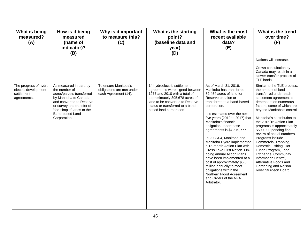| What is being<br>measured?<br>(A)                                          | How is it being<br>measured<br>(name of<br>indicator)?<br>(B)                                                                                                                                                           | Why is it important<br>to measure this?<br>(C)                            | What is the starting<br>point?<br>(baseline data and<br>year)<br>(D)                                                                                                                                                               | What is the most<br>recent available<br>data?<br>(E)                                                                                                                                                                                                                                                                                                                                                                                                                                                                                                                                                                                                | What is the trend<br>over time?<br>(F)                                                                                                                                                                                                                                                                                                                                                                                                                                                                                                                        |
|----------------------------------------------------------------------------|-------------------------------------------------------------------------------------------------------------------------------------------------------------------------------------------------------------------------|---------------------------------------------------------------------------|------------------------------------------------------------------------------------------------------------------------------------------------------------------------------------------------------------------------------------|-----------------------------------------------------------------------------------------------------------------------------------------------------------------------------------------------------------------------------------------------------------------------------------------------------------------------------------------------------------------------------------------------------------------------------------------------------------------------------------------------------------------------------------------------------------------------------------------------------------------------------------------------------|---------------------------------------------------------------------------------------------------------------------------------------------------------------------------------------------------------------------------------------------------------------------------------------------------------------------------------------------------------------------------------------------------------------------------------------------------------------------------------------------------------------------------------------------------------------|
|                                                                            |                                                                                                                                                                                                                         |                                                                           |                                                                                                                                                                                                                                    |                                                                                                                                                                                                                                                                                                                                                                                                                                                                                                                                                                                                                                                     | Nations will increase.<br>Crown consultation by<br>Canada may result in a<br>slower transfer process of<br>TLE lands.                                                                                                                                                                                                                                                                                                                                                                                                                                         |
| The progress of hydro<br>electric development<br>settlement<br>agreements. | As measured in part, by<br>the number of<br>acres/parcels transferred<br>by Manitoba to Canada<br>and converted to Reserve<br>or survey and transfer of<br>"fee-simple" lands to the<br>Band-based Land<br>Corporation. | To ensure Manitoba's<br>obligations are met under<br>each Agreement (14). | 14 hydroelectric settlement<br>agreements were signed between<br>1977 and 2010 with a total of<br>approximately 395,678 acres of<br>land to be converted to Reserve<br>status or transferred to a band-<br>based land corporation. | As of March 31, 2016,<br>Manitoba has transferred<br>82,454 acres of land for<br>Reserve creation or<br>transferred to a band-based<br>corporation.<br>It is estimated over the next<br>five years (2012 to 2017) that<br>Manitoba's financial<br>obligation under these<br>agreements is \$7,579,777.<br>In 2003/04, Manitoba and<br>Manitoba Hydro implemented<br>a 15-month Action Plan with<br>Cross Lake First Nation. On-<br>going annual Action Plans<br>have been implemented at a<br>cost of approximately \$5.6<br>million annually to meet<br>obligations within the<br>Northern Flood Agreement<br>and Orders of the NFA<br>Arbitrator. | Similar to the TLE process,<br>the amount of land<br>transferred under each<br>settlement agreement is<br>dependent on numerous<br>factors, some of which are<br>beyond Manitoba's control.<br>Manitoba's contribution to<br>the 2015/16 Action Plan<br>programs is approximately<br>\$500,000 pending final<br>review of actual numbers.<br>Programs include<br>Commercial Trapping,<br>Domestic Fishing, Hot<br>Lunch Program, Land<br>Exchange, Community<br>Information Centre,<br>Alternative Foods and<br>Gardening and Nelson<br>River Sturgeon Board. |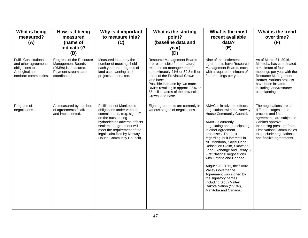| What is being<br>measured?<br>(A)                                                                                 | How is it being<br>measured<br>(name of<br>indicator)?<br>(B)                                                      | Why is it important<br>to measure this?<br>(C)                                                                                                                                                                                                                              | What is the starting<br>point?<br>(baseline data and<br>year)<br>(D)                                                                                                                                                                                                                                          | What is the most<br>recent available<br>data?<br>(E)                                                                                                                                                                                                                                                                                                                                                                                                                                                                                                           | What is the trend<br>over time?<br>(F)                                                                                                                                                                                                           |
|-------------------------------------------------------------------------------------------------------------------|--------------------------------------------------------------------------------------------------------------------|-----------------------------------------------------------------------------------------------------------------------------------------------------------------------------------------------------------------------------------------------------------------------------|---------------------------------------------------------------------------------------------------------------------------------------------------------------------------------------------------------------------------------------------------------------------------------------------------------------|----------------------------------------------------------------------------------------------------------------------------------------------------------------------------------------------------------------------------------------------------------------------------------------------------------------------------------------------------------------------------------------------------------------------------------------------------------------------------------------------------------------------------------------------------------------|--------------------------------------------------------------------------------------------------------------------------------------------------------------------------------------------------------------------------------------------------|
| <b>Fulfill Constitutional</b><br>and other agreement<br>obligations to<br>Aboriginal and<br>northern communities. | Progress of the Resource<br><b>Management Boards</b><br>(RMBs) is measured.<br>Payment streams are<br>coordinated. | Measured in part by the<br>number of meetings held<br>each year and progress of<br>land use planning and<br>projects undertaken.                                                                                                                                            | Resource Management Boards<br>are responsible for the natural<br>resource co-management of<br>approximately 21% or 39.8 million<br>acres of the Provincial Crown<br>land base.<br>Possible increase by two more<br>RMBs resulting in approx. 35% or<br>65 million acres of the provincial<br>Crown land base. | Nine of the settlement<br>agreements have Resource<br>Management Boards, each<br>with a required minimum of<br>four meetings per year.                                                                                                                                                                                                                                                                                                                                                                                                                         | As of March 31, 2016,<br>Manitoba has coordinated<br>a minimum of four<br>meetings per year with the<br>Resource Management<br>Boards. Various projects<br>have been initiated<br>including land/resource<br>use planning.                       |
| Progress of<br>negotiations.                                                                                      | As measured by number<br>of agreements finalized<br>and implemented.                                               | <b>Fulfillment of Manitoba's</b><br>obligations under various<br>commitments, (e.g. sign-off<br>on the outstanding<br>hydroelectric adverse effects<br>settlement agreement will<br>meet the requirement of the<br>legal claim filed by Norway<br>House Community Council). | Eight agreements are currently in<br>various stages of negotiations.                                                                                                                                                                                                                                          | AMAC is in adverse effects<br>negotiations with the Norway<br>House Community Council.<br>AMAC is currently<br>negotiating and participating<br>in other agreement<br>processes: The Inuit<br>regarding Inuit interests in<br>NE Manitoba, Sayisi Dene<br>Relocation Claim, Skownan<br>Land Exchange and Treaty 3<br>First Nations' negotiations<br>with Ontario and Canada.<br>August 20, 2013, the Sioux<br>Valley Governance<br>Agreement was signed by<br>the signatory parties<br>including Sioux Valley<br>Dakota Nation (SVDN),<br>Manitoba and Canada. | The negotiations are at<br>different stages in the<br>process and final<br>agreements are subject to<br>Cabinet approval<br>Increasing pressure from<br><b>First Nations/Communities</b><br>to conclude negotiations<br>and finalize agreements. |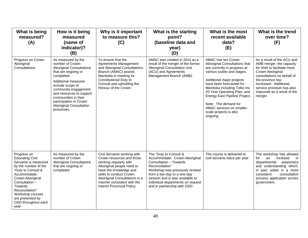| What is being<br>measured?<br>(A)                                                                                                                                                                                                                                       | How is it being<br>measured<br>(name of<br>indicator)?<br>(B)                                                                                                                                                                                                                                                           | Why is it important<br>to measure this?<br>(C)                                                                                                                                                                                                                     | What is the starting<br>point?<br>(baseline data and<br>year)<br>(D)                                                                                                                                                                                                            | What is the most<br>recent available<br>data?<br>(E)                                                                                                                                                                                                                                                                                                                   | What is the trend<br>over time?<br>(F)                                                                                                                                                                                                                      |
|-------------------------------------------------------------------------------------------------------------------------------------------------------------------------------------------------------------------------------------------------------------------------|-------------------------------------------------------------------------------------------------------------------------------------------------------------------------------------------------------------------------------------------------------------------------------------------------------------------------|--------------------------------------------------------------------------------------------------------------------------------------------------------------------------------------------------------------------------------------------------------------------|---------------------------------------------------------------------------------------------------------------------------------------------------------------------------------------------------------------------------------------------------------------------------------|------------------------------------------------------------------------------------------------------------------------------------------------------------------------------------------------------------------------------------------------------------------------------------------------------------------------------------------------------------------------|-------------------------------------------------------------------------------------------------------------------------------------------------------------------------------------------------------------------------------------------------------------|
| Progress on Crown-<br>Aboriginal<br>Consultations                                                                                                                                                                                                                       | As measured by the<br>number of Crown-<br><b>Aboriginal Consultations</b><br>that are ongoing or<br>completed.<br><b>Additional measures</b><br>include scope of<br>community engagement<br>and resources to support<br>communities in their<br>participation in Crown-<br><b>Aboriginal Consultation</b><br>processes. | To ensure that the<br>Agreements Management<br>and Aboriginal Consultations<br>Branch (AMAC) assists<br>Manitoba in meeting its<br>Constitutional Duty to<br>Consult and upholding the<br>Honour of the Crown.                                                     | AMAC was created in 2014 as a<br>result of the merger of the former<br>Aboriginal Consultation Unit<br>(ACU) and Agreements<br>Management Branch (AMB).                                                                                                                         | AMAC has ten Crown-<br>Aboriginal Consultations that<br>are currently in progress at<br>various scales and stages.<br>Additional major projects<br>have been forecasted for<br>Manitoba including Tolko Inc<br>20 Year Operating Plan, and<br>Energy East Pipeline Project,<br>Note: The demand for<br>AMAC services on smaller-<br>scale projects is also<br>ongoing. | As a result of the ACU and<br>AMB merger, the capacity<br>for ANA to facilitate more<br>Crown-Aboriginal<br>consultations on behalf of<br>the province has<br>increased. Additional<br>service provision has also<br>improved as a result of the<br>merger. |
| Progress on<br><b>Educating Civil</b><br>Servants is measured<br>by the number of the<br>"Duty to Consult &<br>Accommodate:<br>Crown-Aboriginal<br>Consultation -<br>Towards<br>Reconciliation"<br>Workshop courses<br>are presented by<br>OSD throughout each<br>year. | As measured by the<br>number of Crown-<br><b>Aboriginal Consultations</b><br>that are ongoing or<br>completed.                                                                                                                                                                                                          | Civil Servants working with<br>Crown resources and those<br>working regularly with<br>Aboriginal people need to<br>have the knowledge and<br>skills to conduct Crown-<br>Aboriginal Consultations in a<br>manner consistent with the<br>Interim Provincial Policy. | The "Duty to Consult &<br>Accommodate: Crown-Aboriginal<br>Consultation - Towards<br>Reconciliation"<br>Workshop was previously revised<br>from a two-day to a one-day<br>session and is also available to<br>individual departments on request<br>and in partnership with OSD. | The course is delivered to<br>civil servants twice per year.                                                                                                                                                                                                                                                                                                           | The workshop has allowed<br>for<br>an<br>increase<br>in.<br>departmental<br>awareness<br>and understanding which,<br>in part, aides in a more<br>consistent<br>consultation<br>process application across<br>government.                                    |